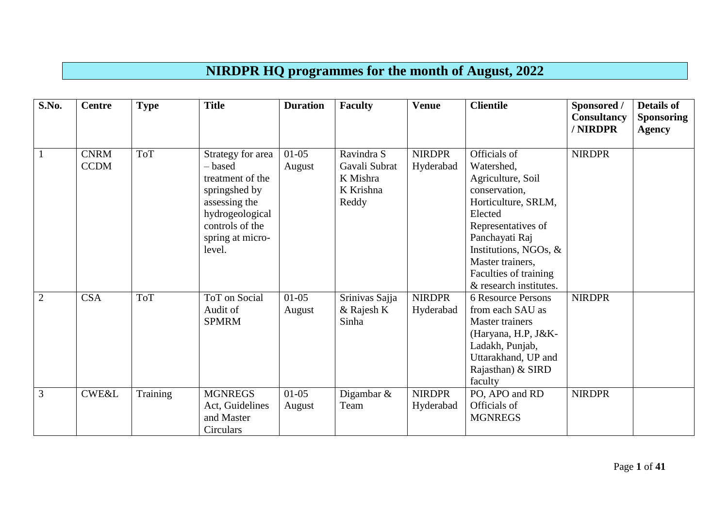## **NIRDPR HQ programmes for the month of August, 2022**

| S.No.          | <b>Centre</b>              | <b>Type</b> | <b>Title</b>                                                                                                                                           | <b>Duration</b>   | <b>Faculty</b>                                                | <b>Venue</b>               | <b>Clientile</b>                                                                                                                                                                                                                           | Sponsored /<br><b>Consultancy</b><br>/ NIRDPR | <b>Details of</b><br><b>Sponsoring</b><br><b>Agency</b> |
|----------------|----------------------------|-------------|--------------------------------------------------------------------------------------------------------------------------------------------------------|-------------------|---------------------------------------------------------------|----------------------------|--------------------------------------------------------------------------------------------------------------------------------------------------------------------------------------------------------------------------------------------|-----------------------------------------------|---------------------------------------------------------|
| $\vert$ 1      | <b>CNRM</b><br><b>CCDM</b> | <b>ToT</b>  | Strategy for area<br>- based<br>treatment of the<br>springshed by<br>assessing the<br>hydrogeological<br>controls of the<br>spring at micro-<br>level. | $01-05$<br>August | Ravindra S<br>Gavali Subrat<br>K Mishra<br>K Krishna<br>Reddy | <b>NIRDPR</b><br>Hyderabad | Officials of<br>Watershed,<br>Agriculture, Soil<br>conservation,<br>Horticulture, SRLM,<br>Elected<br>Representatives of<br>Panchayati Raj<br>Institutions, NGOs, &<br>Master trainers,<br>Faculties of training<br>& research institutes. | <b>NIRDPR</b>                                 |                                                         |
| $\overline{2}$ | <b>CSA</b>                 | <b>ToT</b>  | ToT on Social<br>Audit of<br><b>SPMRM</b>                                                                                                              | $01-05$<br>August | Srinivas Sajja<br>& Rajesh K<br>Sinha                         | <b>NIRDPR</b><br>Hyderabad | 6 Resource Persons<br>from each SAU as<br><b>Master trainers</b><br>(Haryana, H.P, J&K-<br>Ladakh, Punjab,<br>Uttarakhand, UP and<br>Rajasthan) & SIRD<br>faculty                                                                          | <b>NIRDPR</b>                                 |                                                         |
| $\overline{3}$ | <b>CWE&amp;L</b>           | Training    | <b>MGNREGS</b><br>Act, Guidelines<br>and Master<br>Circulars                                                                                           | $01-05$<br>August | Digambar $\&$<br>Team                                         | <b>NIRDPR</b><br>Hyderabad | PO, APO and RD<br>Officials of<br><b>MGNREGS</b>                                                                                                                                                                                           | <b>NIRDPR</b>                                 |                                                         |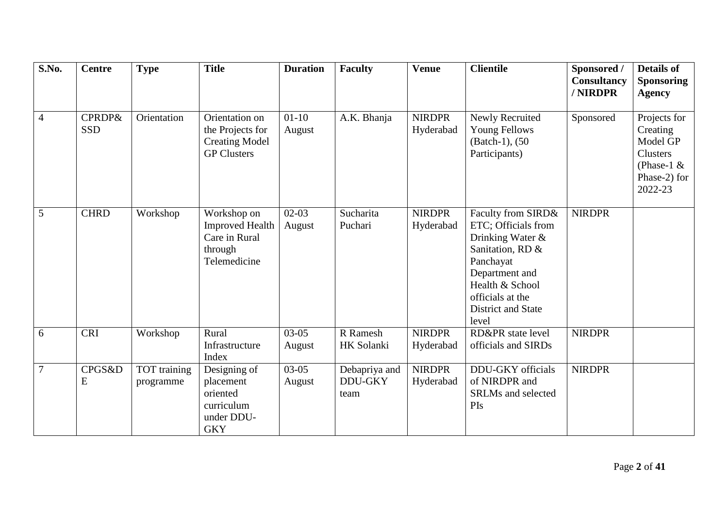| S.No.          | <b>Centre</b>                   | <b>Type</b>               | <b>Title</b>                                                                      | <b>Duration</b>   | <b>Faculty</b>                          | <b>Venue</b>               | <b>Clientile</b>                                                                                                                                                                       | Sponsored /<br>Consultancy<br>/ NIRDPR | <b>Details of</b><br><b>Sponsoring</b><br><b>Agency</b>                                            |
|----------------|---------------------------------|---------------------------|-----------------------------------------------------------------------------------|-------------------|-----------------------------------------|----------------------------|----------------------------------------------------------------------------------------------------------------------------------------------------------------------------------------|----------------------------------------|----------------------------------------------------------------------------------------------------|
| $\overline{4}$ | <b>CPRDP&amp;</b><br><b>SSD</b> | Orientation               | Orientation on<br>the Projects for<br><b>Creating Model</b><br><b>GP Clusters</b> | $01-10$<br>August | A.K. Bhanja                             | <b>NIRDPR</b><br>Hyderabad | Newly Recruited<br><b>Young Fellows</b><br>(Batch-1), (50)<br>Participants)                                                                                                            | Sponsored                              | Projects for<br>Creating<br>Model GP<br><b>Clusters</b><br>(Phase-1 $&$<br>Phase-2) for<br>2022-23 |
| 5              | <b>CHRD</b>                     | Workshop                  | Workshop on<br><b>Improved Health</b><br>Care in Rural<br>through<br>Telemedicine | $02-03$<br>August | Sucharita<br>Puchari                    | <b>NIRDPR</b><br>Hyderabad | Faculty from SIRD&<br>ETC; Officials from<br>Drinking Water &<br>Sanitation, RD &<br>Panchayat<br>Department and<br>Health & School<br>officials at the<br>District and State<br>level | <b>NIRDPR</b>                          |                                                                                                    |
| 6              | <b>CRI</b>                      | Workshop                  | Rural<br>Infrastructure<br>Index                                                  | $03-05$<br>August | R Ramesh<br>HK Solanki                  | <b>NIRDPR</b><br>Hyderabad | RD&PR state level<br>officials and SIRDs                                                                                                                                               | <b>NIRDPR</b>                          |                                                                                                    |
| $\overline{7}$ | CPGS&D<br>E                     | TOT training<br>programme | Designing of<br>placement<br>oriented<br>curriculum<br>under DDU-<br><b>GKY</b>   | $03-05$<br>August | Debapriya and<br><b>DDU-GKY</b><br>team | <b>NIRDPR</b><br>Hyderabad | <b>DDU-GKY</b> officials<br>of NIRDPR and<br><b>SRLMs</b> and selected<br>PIs                                                                                                          | <b>NIRDPR</b>                          |                                                                                                    |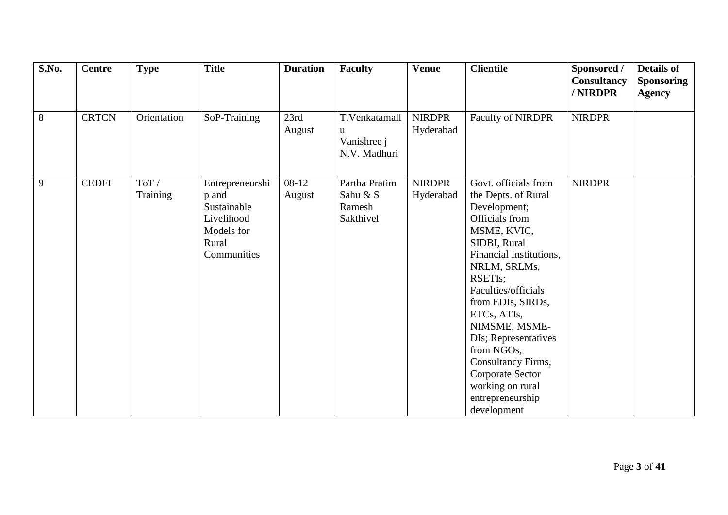| S.No.          | <b>Centre</b> | <b>Type</b>      | <b>Title</b>                                                                                | <b>Duration</b>   | <b>Faculty</b>                                    | <b>Venue</b>               | <b>Clientile</b>                                                                                                                                                                                                                                                                                                                                                                      | Sponsored /<br><b>Consultancy</b><br>/ NIRDPR | <b>Details of</b><br><b>Sponsoring</b><br><b>Agency</b> |
|----------------|---------------|------------------|---------------------------------------------------------------------------------------------|-------------------|---------------------------------------------------|----------------------------|---------------------------------------------------------------------------------------------------------------------------------------------------------------------------------------------------------------------------------------------------------------------------------------------------------------------------------------------------------------------------------------|-----------------------------------------------|---------------------------------------------------------|
| $\sqrt{8}$     | <b>CRTCN</b>  | Orientation      | SoP-Training                                                                                | 23rd<br>August    | T.Venkatamall<br>u<br>Vanishree j<br>N.V. Madhuri | <b>NIRDPR</b><br>Hyderabad | <b>Faculty of NIRDPR</b>                                                                                                                                                                                                                                                                                                                                                              | <b>NIRDPR</b>                                 |                                                         |
| $\overline{9}$ | <b>CEDFI</b>  | ToT/<br>Training | Entrepreneurshi<br>p and<br>Sustainable<br>Livelihood<br>Models for<br>Rural<br>Communities | $08-12$<br>August | Partha Pratim<br>Sahu & S<br>Ramesh<br>Sakthivel  | <b>NIRDPR</b><br>Hyderabad | Govt. officials from<br>the Depts. of Rural<br>Development;<br>Officials from<br>MSME, KVIC,<br>SIDBI, Rural<br>Financial Institutions,<br>NRLM, SRLMs,<br>RSETIs;<br>Faculties/officials<br>from EDIs, SIRDs,<br>ETCs, ATIs,<br>NIMSME, MSME-<br>DIs; Representatives<br>from NGOs,<br>Consultancy Firms,<br>Corporate Sector<br>working on rural<br>entrepreneurship<br>development | <b>NIRDPR</b>                                 |                                                         |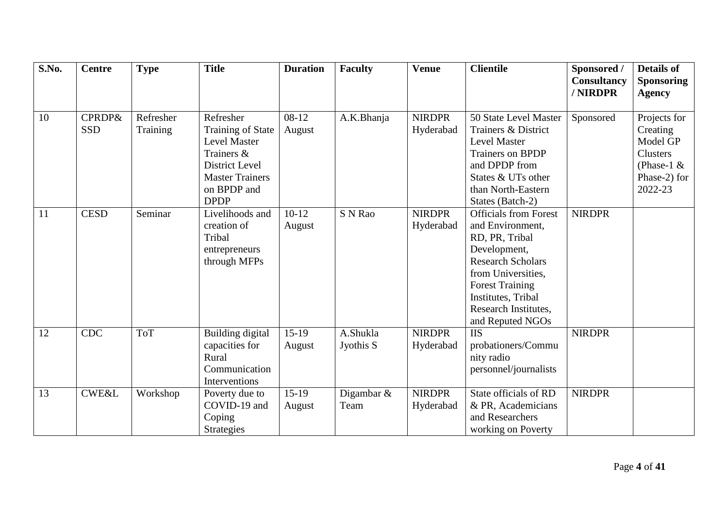| S.No. | <b>Centre</b>                   | <b>Type</b>           | <b>Title</b>                                                                                                                  | <b>Duration</b>   | <b>Faculty</b>        | <b>Venue</b>               | <b>Clientile</b>                                                                                                                                                                                                                 | Sponsored /   | <b>Details of</b>                                                                       |
|-------|---------------------------------|-----------------------|-------------------------------------------------------------------------------------------------------------------------------|-------------------|-----------------------|----------------------------|----------------------------------------------------------------------------------------------------------------------------------------------------------------------------------------------------------------------------------|---------------|-----------------------------------------------------------------------------------------|
|       |                                 |                       |                                                                                                                               |                   |                       |                            |                                                                                                                                                                                                                                  | Consultancy   | <b>Sponsoring</b>                                                                       |
|       |                                 |                       |                                                                                                                               |                   |                       |                            |                                                                                                                                                                                                                                  | / NIRDPR      | <b>Agency</b>                                                                           |
| 10    | <b>CPRDP&amp;</b><br><b>SSD</b> | Refresher<br>Training | Refresher<br><b>Training of State</b><br><b>Level Master</b><br>Trainers &<br><b>District Level</b><br><b>Master Trainers</b> | $08-12$<br>August | A.K.Bhanja            | <b>NIRDPR</b><br>Hyderabad | 50 State Level Master<br>Trainers & District<br>Level Master<br><b>Trainers on BPDP</b><br>and DPDP from<br>States & UTs other                                                                                                   | Sponsored     | Projects for<br>Creating<br>Model GP<br><b>Clusters</b><br>(Phase-1 $&$<br>Phase-2) for |
|       |                                 |                       | on BPDP and<br><b>DPDP</b>                                                                                                    |                   |                       |                            | than North-Eastern<br>States (Batch-2)                                                                                                                                                                                           |               | 2022-23                                                                                 |
| 11    | <b>CESD</b>                     | Seminar               | Livelihoods and<br>creation of<br>Tribal<br>entrepreneurs<br>through MFPs                                                     | $10-12$<br>August | S N Rao               | <b>NIRDPR</b><br>Hyderabad | <b>Officials from Forest</b><br>and Environment,<br>RD, PR, Tribal<br>Development,<br><b>Research Scholars</b><br>from Universities,<br><b>Forest Training</b><br>Institutes, Tribal<br>Research Institutes,<br>and Reputed NGOs | <b>NIRDPR</b> |                                                                                         |
| 12    | <b>CDC</b>                      | <b>ToT</b>            | Building digital<br>capacities for<br>Rural<br>Communication<br>Interventions                                                 | $15-19$<br>August | A.Shukla<br>Jyothis S | <b>NIRDPR</b><br>Hyderabad | <b>IIS</b><br>probationers/Commu<br>nity radio<br>personnel/journalists                                                                                                                                                          | <b>NIRDPR</b> |                                                                                         |
| 13    | <b>CWE&amp;L</b>                | Workshop              | Poverty due to<br>COVID-19 and<br>Coping<br><b>Strategies</b>                                                                 | $15-19$<br>August | Digambar $\&$<br>Team | <b>NIRDPR</b><br>Hyderabad | State officials of RD<br>& PR, Academicians<br>and Researchers<br>working on Poverty                                                                                                                                             | <b>NIRDPR</b> |                                                                                         |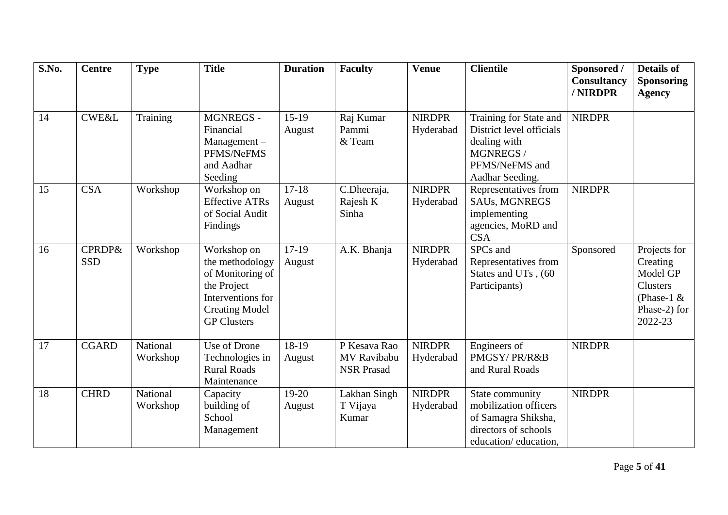| S.No. | <b>Centre</b>                   | <b>Type</b>          | <b>Title</b>                                                                                                                          | <b>Duration</b>   | <b>Faculty</b>                                   | <b>Venue</b>               | <b>Clientile</b>                                                                                                     | Sponsored /<br><b>Consultancy</b><br>/ NIRDPR | <b>Details of</b><br><b>Sponsoring</b><br><b>Agency</b>                                             |
|-------|---------------------------------|----------------------|---------------------------------------------------------------------------------------------------------------------------------------|-------------------|--------------------------------------------------|----------------------------|----------------------------------------------------------------------------------------------------------------------|-----------------------------------------------|-----------------------------------------------------------------------------------------------------|
|       |                                 |                      |                                                                                                                                       |                   |                                                  |                            |                                                                                                                      |                                               |                                                                                                     |
| 14    | <b>CWE&amp;L</b>                | Training             | <b>MGNREGS -</b><br>Financial<br>Management-<br>PFMS/NeFMS<br>and Aadhar<br>Seeding                                                   | $15-19$<br>August | Raj Kumar<br>Pammi<br>& Team                     | <b>NIRDPR</b><br>Hyderabad | Training for State and<br>District level officials<br>dealing with<br>MGNREGS /<br>PFMS/NeFMS and<br>Aadhar Seeding. | <b>NIRDPR</b>                                 |                                                                                                     |
| 15    | <b>CSA</b>                      | Workshop             | Workshop on<br><b>Effective ATRs</b><br>of Social Audit<br>Findings                                                                   | $17-18$<br>August | C.Dheeraja,<br>Rajesh K<br>Sinha                 | <b>NIRDPR</b><br>Hyderabad | Representatives from<br>SAUs, MGNREGS<br>implementing<br>agencies, MoRD and<br><b>CSA</b>                            | <b>NIRDPR</b>                                 |                                                                                                     |
| 16    | <b>CPRDP&amp;</b><br><b>SSD</b> | Workshop             | Workshop on<br>the methodology<br>of Monitoring of<br>the Project<br>Interventions for<br><b>Creating Model</b><br><b>GP Clusters</b> | $17-19$<br>August | A.K. Bhanja                                      | <b>NIRDPR</b><br>Hyderabad | SPCs and<br>Representatives from<br>States and UTs, (60<br>Participants)                                             | Sponsored                                     | Projects for<br>Creating<br>Model GP<br><b>Clusters</b><br>(Phase-1 $\&$<br>Phase-2) for<br>2022-23 |
| 17    | <b>CGARD</b>                    | National<br>Workshop | Use of Drone<br>Technologies in<br><b>Rural Roads</b><br>Maintenance                                                                  | 18-19<br>August   | P Kesava Rao<br>MV Ravibabu<br><b>NSR Prasad</b> | <b>NIRDPR</b><br>Hyderabad | Engineers of<br>PMGSY/PR/R&B<br>and Rural Roads                                                                      | <b>NIRDPR</b>                                 |                                                                                                     |
| 18    | <b>CHRD</b>                     | National<br>Workshop | Capacity<br>building of<br>School<br>Management                                                                                       | $19-20$<br>August | Lakhan Singh<br>T Vijaya<br>Kumar                | <b>NIRDPR</b><br>Hyderabad | State community<br>mobilization officers<br>of Samagra Shiksha,<br>directors of schools<br>education/education,      | <b>NIRDPR</b>                                 |                                                                                                     |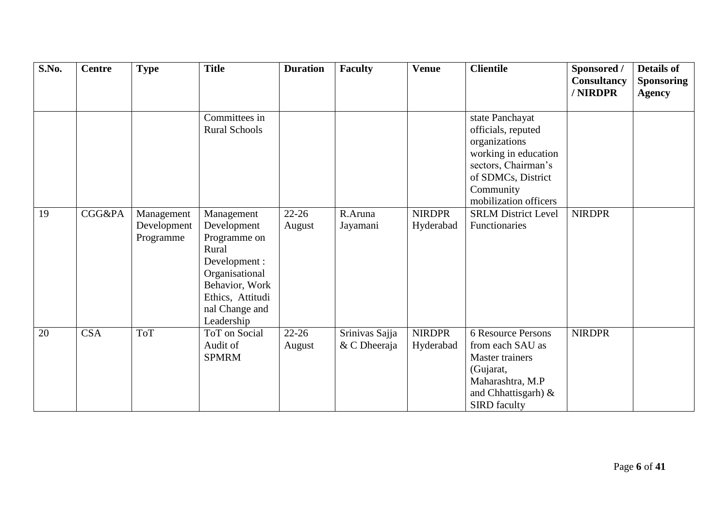| S.No. | <b>Centre</b> | <b>Type</b>                            | <b>Title</b>                                                                                                                                                | <b>Duration</b>     | <b>Faculty</b>                 | <b>Venue</b>               | <b>Clientile</b>                                                                                                                                                                                | Sponsored /<br><b>Consultancy</b><br>/NIRDPR | <b>Details of</b><br><b>Sponsoring</b><br><b>Agency</b> |
|-------|---------------|----------------------------------------|-------------------------------------------------------------------------------------------------------------------------------------------------------------|---------------------|--------------------------------|----------------------------|-------------------------------------------------------------------------------------------------------------------------------------------------------------------------------------------------|----------------------------------------------|---------------------------------------------------------|
| 19    | CGG&PA        |                                        | Committees in<br><b>Rural Schools</b>                                                                                                                       | $22 - 26$           | R.Aruna                        | <b>NIRDPR</b>              | state Panchayat<br>officials, reputed<br>organizations<br>working in education<br>sectors, Chairman's<br>of SDMCs, District<br>Community<br>mobilization officers<br><b>SRLM District Level</b> | <b>NIRDPR</b>                                |                                                         |
|       |               | Management<br>Development<br>Programme | Management<br>Development<br>Programme on<br>Rural<br>Development :<br>Organisational<br>Behavior, Work<br>Ethics, Attitudi<br>nal Change and<br>Leadership | August              | Jayamani                       | Hyderabad                  | Functionaries                                                                                                                                                                                   |                                              |                                                         |
| 20    | <b>CSA</b>    | <b>ToT</b>                             | <b>ToT</b> on Social<br>Audit of<br><b>SPMRM</b>                                                                                                            | $22 - 26$<br>August | Srinivas Sajja<br>& C Dheeraja | <b>NIRDPR</b><br>Hyderabad | 6 Resource Persons<br>from each SAU as<br><b>Master trainers</b><br>(Gujarat,<br>Maharashtra, M.P<br>and Chhattisgarh) &<br><b>SIRD</b> faculty                                                 | <b>NIRDPR</b>                                |                                                         |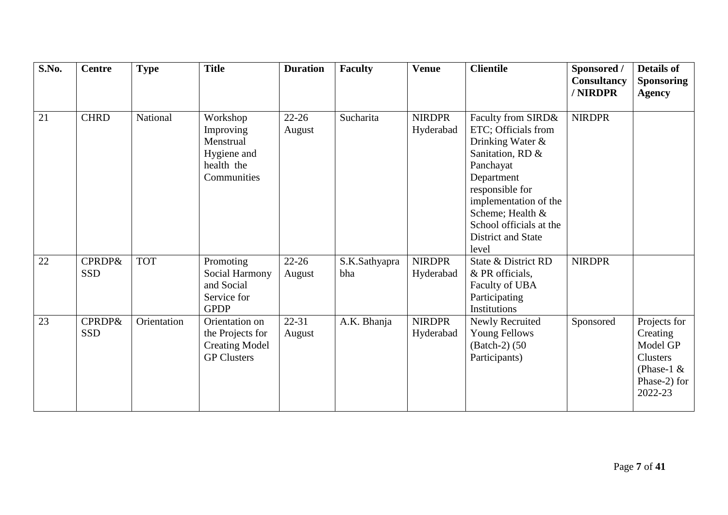| S.No. | <b>Centre</b>                   | <b>Type</b> | <b>Title</b>                                                                      | <b>Duration</b>     | <b>Faculty</b>       | <b>Venue</b>               | <b>Clientile</b>                                                                                                                                                                                                                       | Sponsored /<br>Consultancy<br>/ NIRDPR | <b>Details of</b><br><b>Sponsoring</b><br><b>Agency</b>                                             |
|-------|---------------------------------|-------------|-----------------------------------------------------------------------------------|---------------------|----------------------|----------------------------|----------------------------------------------------------------------------------------------------------------------------------------------------------------------------------------------------------------------------------------|----------------------------------------|-----------------------------------------------------------------------------------------------------|
| 21    | <b>CHRD</b>                     | National    | Workshop<br>Improving<br>Menstrual<br>Hygiene and<br>health the<br>Communities    | $22 - 26$<br>August | Sucharita            | <b>NIRDPR</b><br>Hyderabad | Faculty from SIRD&<br>ETC; Officials from<br>Drinking Water &<br>Sanitation, RD &<br>Panchayat<br>Department<br>responsible for<br>implementation of the<br>Scheme; Health &<br>School officials at the<br>District and State<br>level | <b>NIRDPR</b>                          |                                                                                                     |
| 22    | CPRDP&<br><b>SSD</b>            | <b>TOT</b>  | Promoting<br>Social Harmony<br>and Social<br>Service for<br><b>GPDP</b>           | $22 - 26$<br>August | S.K.Sathyapra<br>bha | <b>NIRDPR</b><br>Hyderabad | State & District RD<br>& PR officials,<br>Faculty of UBA<br>Participating<br>Institutions                                                                                                                                              | <b>NIRDPR</b>                          |                                                                                                     |
| 23    | <b>CPRDP&amp;</b><br><b>SSD</b> | Orientation | Orientation on<br>the Projects for<br><b>Creating Model</b><br><b>GP Clusters</b> | $22 - 31$<br>August | A.K. Bhanja          | <b>NIRDPR</b><br>Hyderabad | Newly Recruited<br><b>Young Fellows</b><br>(Batch-2) (50)<br>Participants)                                                                                                                                                             | Sponsored                              | Projects for<br>Creating<br>Model GP<br><b>Clusters</b><br>(Phase-1 $\&$<br>Phase-2) for<br>2022-23 |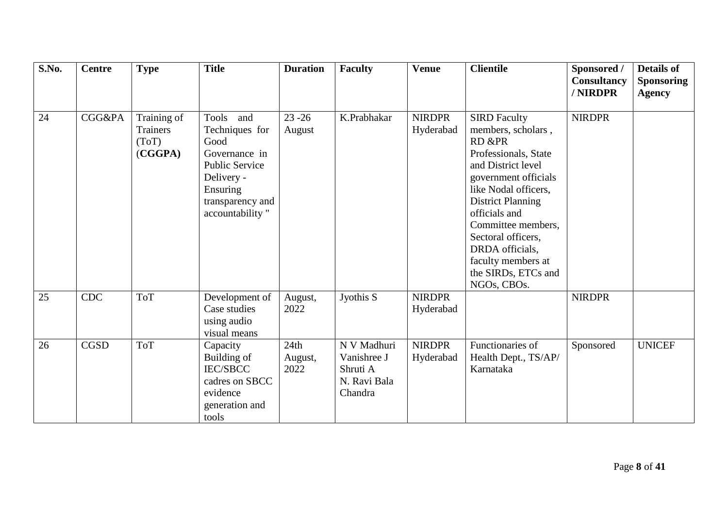| S.No. | <b>Centre</b> | <b>Type</b>                                 | <b>Title</b>                                                                                                                                      | <b>Duration</b>         | <b>Faculty</b>                                                    | <b>Venue</b>               | <b>Clientile</b>                                                                                                                                                                                                                                                                                                          | Sponsored /<br>Consultancy<br>/NIRDPR | <b>Details of</b><br><b>Sponsoring</b><br><b>Agency</b> |
|-------|---------------|---------------------------------------------|---------------------------------------------------------------------------------------------------------------------------------------------------|-------------------------|-------------------------------------------------------------------|----------------------------|---------------------------------------------------------------------------------------------------------------------------------------------------------------------------------------------------------------------------------------------------------------------------------------------------------------------------|---------------------------------------|---------------------------------------------------------|
| 24    | CGG&PA        | Training of<br>Trainers<br>(ToT)<br>(CGGPA) | Tools<br>and<br>Techniques for<br>Good<br>Governance in<br><b>Public Service</b><br>Delivery -<br>Ensuring<br>transparency and<br>accountability" | $23 - 26$<br>August     | K.Prabhakar                                                       | <b>NIRDPR</b><br>Hyderabad | <b>SIRD Faculty</b><br>members, scholars,<br>RD &PR<br>Professionals, State<br>and District level<br>government officials<br>like Nodal officers,<br><b>District Planning</b><br>officials and<br>Committee members,<br>Sectoral officers,<br>DRDA officials,<br>faculty members at<br>the SIRDs, ETCs and<br>NGOs, CBOs. | <b>NIRDPR</b>                         |                                                         |
| 25    | CDC           | <b>ToT</b>                                  | Development of<br>Case studies<br>using audio<br>visual means                                                                                     | August,<br>2022         | Jyothis S                                                         | <b>NIRDPR</b><br>Hyderabad |                                                                                                                                                                                                                                                                                                                           | <b>NIRDPR</b>                         |                                                         |
| 26    | <b>CGSD</b>   | <b>ToT</b>                                  | Capacity<br>Building of<br><b>IEC/SBCC</b><br>cadres on SBCC<br>evidence<br>generation and<br>tools                                               | 24th<br>August,<br>2022 | N V Madhuri<br>Vanishree J<br>Shruti A<br>N. Ravi Bala<br>Chandra | <b>NIRDPR</b><br>Hyderabad | Functionaries of<br>Health Dept., TS/AP/<br>Karnataka                                                                                                                                                                                                                                                                     | Sponsored                             | <b>UNICEF</b>                                           |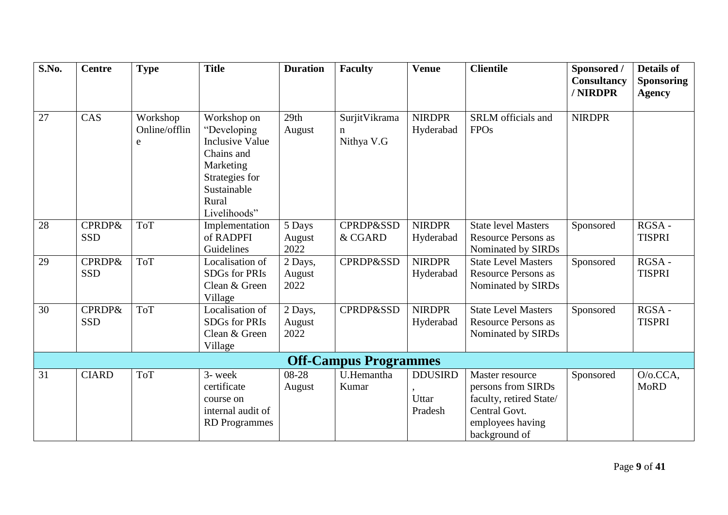| S.No. | <b>Centre</b>                   | <b>Type</b>                    | <b>Title</b>                                                                                                                              | <b>Duration</b>           | <b>Faculty</b>                    | <b>Venue</b>                       | <b>Clientile</b>                                                                                                       | Sponsored /<br>Consultancy<br>/ NIRDPR | <b>Details of</b><br><b>Sponsoring</b><br><b>Agency</b> |
|-------|---------------------------------|--------------------------------|-------------------------------------------------------------------------------------------------------------------------------------------|---------------------------|-----------------------------------|------------------------------------|------------------------------------------------------------------------------------------------------------------------|----------------------------------------|---------------------------------------------------------|
| 27    | CAS                             | Workshop<br>Online/offlin<br>e | Workshop on<br>"Developing<br><b>Inclusive Value</b><br>Chains and<br>Marketing<br>Strategies for<br>Sustainable<br>Rural<br>Livelihoods" | 29th<br>August            | SurjitVikrama<br>n.<br>Nithya V.G | <b>NIRDPR</b><br>Hyderabad         | SRLM officials and<br><b>FPOs</b>                                                                                      | <b>NIRDPR</b>                          |                                                         |
| 28    | <b>CPRDP&amp;</b><br><b>SSD</b> | <b>ToT</b>                     | Implementation<br>of RADPFI<br>Guidelines                                                                                                 | 5 Days<br>August<br>2022  | <b>CPRDP&amp;SSD</b><br>& CGARD   | <b>NIRDPR</b><br>Hyderabad         | <b>State level Masters</b><br><b>Resource Persons as</b><br>Nominated by SIRDs                                         | Sponsored                              | RGSA-<br><b>TISPRI</b>                                  |
| 29    | <b>CPRDP&amp;</b><br><b>SSD</b> | <b>ToT</b>                     | Localisation of<br>SDGs for PRIs<br>Clean & Green<br>Village                                                                              | 2 Days,<br>August<br>2022 | <b>CPRDP&amp;SSD</b>              | <b>NIRDPR</b><br>Hyderabad         | <b>State Level Masters</b><br><b>Resource Persons as</b><br>Nominated by SIRDs                                         | Sponsored                              | RGSA-<br><b>TISPRI</b>                                  |
| 30    | <b>CPRDP&amp;</b><br><b>SSD</b> | <b>ToT</b>                     | Localisation of<br><b>SDGs for PRIs</b><br>Clean & Green<br>Village                                                                       | 2 Days,<br>August<br>2022 | <b>CPRDP&amp;SSD</b>              | <b>NIRDPR</b><br>Hyderabad         | <b>State Level Masters</b><br><b>Resource Persons as</b><br>Nominated by SIRDs                                         | Sponsored                              | RGSA-<br><b>TISPRI</b>                                  |
|       |                                 |                                |                                                                                                                                           |                           | <b>Off-Campus Programmes</b>      |                                    |                                                                                                                        |                                        |                                                         |
| 31    | <b>CIARD</b>                    | <b>ToT</b>                     | 3- week<br>certificate<br>course on<br>internal audit of<br><b>RD</b> Programmes                                                          | 08-28<br>August           | U.Hemantha<br>Kumar               | <b>DDUSIRD</b><br>Uttar<br>Pradesh | Master resource<br>persons from SIRDs<br>faculty, retired State/<br>Central Govt.<br>employees having<br>background of | Sponsored                              | $O/O.CCA$ ,<br><b>MoRD</b>                              |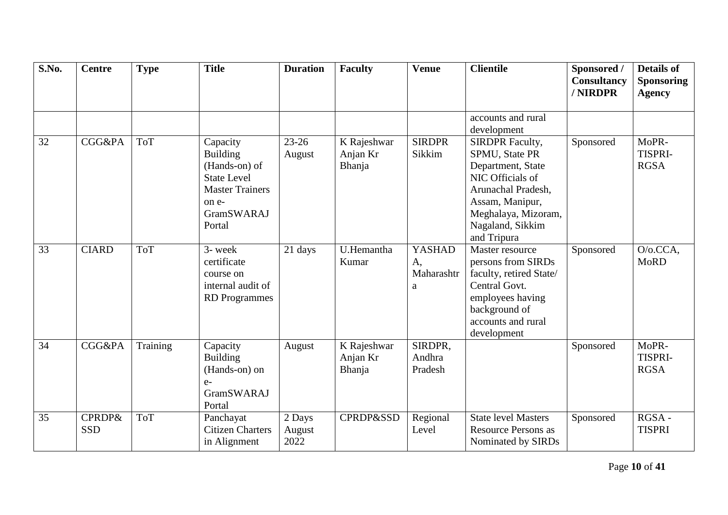| S.No. | <b>Centre</b>                   | <b>Type</b> | <b>Title</b>                                                                                                                         | <b>Duration</b>          | <b>Faculty</b>                    | <b>Venue</b>                           | <b>Clientile</b>                                                                                                                                                                     | Sponsored /<br>Consultancy<br>/ NIRDPR | <b>Details of</b><br><b>Sponsoring</b><br><b>Agency</b> |
|-------|---------------------------------|-------------|--------------------------------------------------------------------------------------------------------------------------------------|--------------------------|-----------------------------------|----------------------------------------|--------------------------------------------------------------------------------------------------------------------------------------------------------------------------------------|----------------------------------------|---------------------------------------------------------|
|       |                                 |             |                                                                                                                                      |                          |                                   |                                        | accounts and rural<br>development                                                                                                                                                    |                                        |                                                         |
| 32    | <b>CGG&amp;PA</b>               | <b>ToT</b>  | Capacity<br><b>Building</b><br>(Hands-on) of<br><b>State Level</b><br><b>Master Trainers</b><br>on e-<br><b>GramSWARAJ</b><br>Portal | $23 - 26$<br>August      | K Rajeshwar<br>Anjan Kr<br>Bhanja | <b>SIRDPR</b><br>Sikkim                | <b>SIRDPR Faculty,</b><br>SPMU, State PR<br>Department, State<br>NIC Officials of<br>Arunachal Pradesh,<br>Assam, Manipur,<br>Meghalaya, Mizoram,<br>Nagaland, Sikkim<br>and Tripura | Sponsored                              | MoPR-<br>TISPRI-<br><b>RGSA</b>                         |
| 33    | <b>CIARD</b>                    | <b>ToT</b>  | 3- week<br>certificate<br>course on<br>internal audit of<br><b>RD</b> Programmes                                                     | 21 days                  | U.Hemantha<br>Kumar               | <b>YASHAD</b><br>A,<br>Maharashtr<br>a | Master resource<br>persons from SIRDs<br>faculty, retired State/<br>Central Govt.<br>employees having<br>background of<br>accounts and rural<br>development                          | Sponsored                              | $O/O.CCA$ ,<br><b>MoRD</b>                              |
| 34    | <b>CGG&amp;PA</b>               | Training    | Capacity<br><b>Building</b><br>(Hands-on) on<br>$e-$<br><b>GramSWARAJ</b><br>Portal                                                  | August                   | K Rajeshwar<br>Anjan Kr<br>Bhanja | SIRDPR.<br>Andhra<br>Pradesh           |                                                                                                                                                                                      | Sponsored                              | MoPR-<br><b>TISPRI-</b><br><b>RGSA</b>                  |
| 35    | <b>CPRDP&amp;</b><br><b>SSD</b> | <b>ToT</b>  | Panchayat<br><b>Citizen Charters</b><br>in Alignment                                                                                 | 2 Days<br>August<br>2022 | <b>CPRDP&amp;SSD</b>              | Regional<br>Level                      | <b>State level Masters</b><br><b>Resource Persons as</b><br>Nominated by SIRDs                                                                                                       | Sponsored                              | RGSA-<br><b>TISPRI</b>                                  |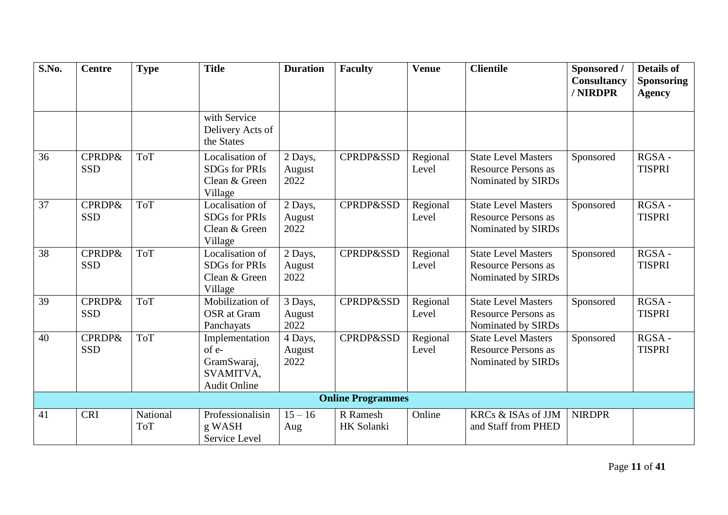| S.No. | <b>Centre</b>                   | <b>Type</b>            | <b>Title</b>                                                               | <b>Duration</b>           | <b>Faculty</b>           | <b>Venue</b>      | <b>Clientile</b>                                                               | Sponsored /<br>Consultancy<br>/ NIRDPR | <b>Details of</b><br><b>Sponsoring</b><br><b>Agency</b> |
|-------|---------------------------------|------------------------|----------------------------------------------------------------------------|---------------------------|--------------------------|-------------------|--------------------------------------------------------------------------------|----------------------------------------|---------------------------------------------------------|
|       |                                 |                        | with Service<br>Delivery Acts of<br>the States                             |                           |                          |                   |                                                                                |                                        |                                                         |
| 36    | <b>CPRDP&amp;</b><br><b>SSD</b> | <b>ToT</b>             | Localisation of<br><b>SDGs for PRIs</b><br>Clean & Green<br>Village        | 2 Days,<br>August<br>2022 | <b>CPRDP&amp;SSD</b>     | Regional<br>Level | <b>State Level Masters</b><br><b>Resource Persons as</b><br>Nominated by SIRDs | Sponsored                              | RGSA-<br><b>TISPRI</b>                                  |
| 37    | <b>CPRDP&amp;</b><br><b>SSD</b> | <b>ToT</b>             | Localisation of<br><b>SDGs for PRIs</b><br>Clean & Green<br>Village        | 2 Days,<br>August<br>2022 | CPRDP&SSD                | Regional<br>Level | <b>State Level Masters</b><br><b>Resource Persons as</b><br>Nominated by SIRDs | Sponsored                              | $RGSA -$<br><b>TISPRI</b>                               |
| 38    | <b>CPRDP&amp;</b><br><b>SSD</b> | <b>ToT</b>             | Localisation of<br><b>SDGs for PRIs</b><br>Clean & Green<br>Village        | 2 Days,<br>August<br>2022 | <b>CPRDP&amp;SSD</b>     | Regional<br>Level | <b>State Level Masters</b><br><b>Resource Persons as</b><br>Nominated by SIRDs | Sponsored                              | RGSA-<br><b>TISPRI</b>                                  |
| 39    | <b>CPRDP&amp;</b><br><b>SSD</b> | <b>ToT</b>             | Mobilization of<br><b>OSR</b> at Gram<br>Panchayats                        | 3 Days,<br>August<br>2022 | <b>CPRDP&amp;SSD</b>     | Regional<br>Level | <b>State Level Masters</b><br><b>Resource Persons as</b><br>Nominated by SIRDs | Sponsored                              | $RGSA -$<br><b>TISPRI</b>                               |
| 40    | <b>CPRDP&amp;</b><br><b>SSD</b> | <b>ToT</b>             | Implementation<br>of e-<br>GramSwaraj,<br>SVAMITVA,<br><b>Audit Online</b> | 4 Days,<br>August<br>2022 | <b>CPRDP&amp;SSD</b>     | Regional<br>Level | <b>State Level Masters</b><br><b>Resource Persons as</b><br>Nominated by SIRDs | Sponsored                              | RGSA-<br><b>TISPRI</b>                                  |
|       |                                 |                        |                                                                            |                           | <b>Online Programmes</b> |                   |                                                                                |                                        |                                                         |
| 41    | <b>CRI</b>                      | National<br><b>ToT</b> | Professionalisin<br>g WASH<br>Service Level                                | $15 - 16$<br>Aug          | R Ramesh<br>HK Solanki   | Online            | KRCs & ISAs of JJM<br>and Staff from PHED                                      | <b>NIRDPR</b>                          |                                                         |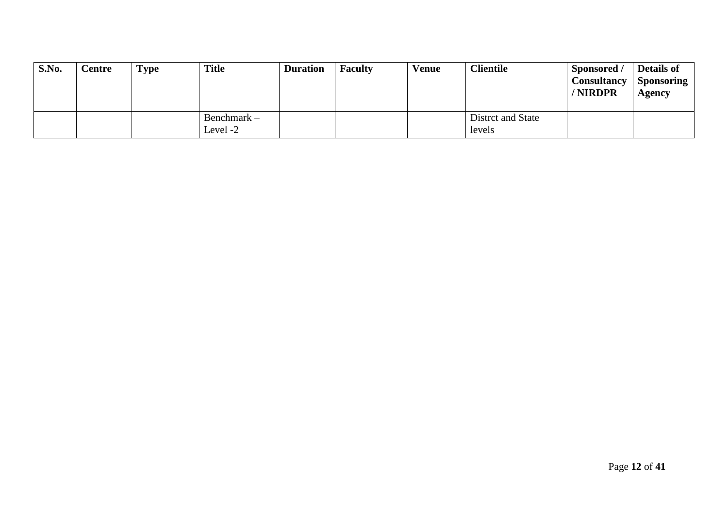| S.No. | Centre | <b>Type</b> | <b>Title</b>              | <b>Duration</b> | <b>Faculty</b> | <b>Venue</b> | <b>Clientile</b>            | Sponsored /<br><b>Consultancy</b><br>/ NIRDPR | <b>Details of</b><br><b>Sponsoring</b><br>Agency |
|-------|--------|-------------|---------------------------|-----------------|----------------|--------------|-----------------------------|-----------------------------------------------|--------------------------------------------------|
|       |        |             | Benchmark $-$<br>Level -2 |                 |                |              | Distrct and State<br>levels |                                               |                                                  |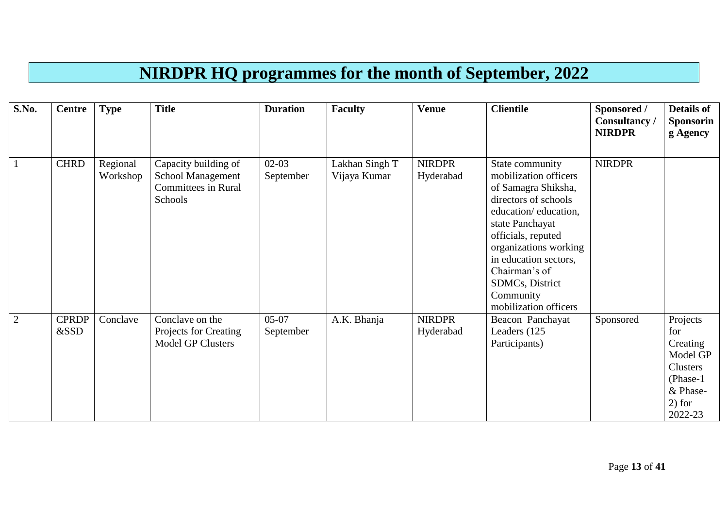## **NIRDPR HQ programmes for the month of September, 2022**

| <b>S.No.</b>   | <b>Centre</b>        | <b>Type</b>          | <b>Title</b>                                                                       | <b>Duration</b>      | <b>Faculty</b>                 | <b>Venue</b>               | <b>Clientile</b>                                                                                                                                                                                                                                                                     | Sponsored /<br>Consultancy/<br><b>NIRDPR</b> | <b>Details of</b><br><b>Sponsorin</b><br>g Agency                                                     |
|----------------|----------------------|----------------------|------------------------------------------------------------------------------------|----------------------|--------------------------------|----------------------------|--------------------------------------------------------------------------------------------------------------------------------------------------------------------------------------------------------------------------------------------------------------------------------------|----------------------------------------------|-------------------------------------------------------------------------------------------------------|
|                | <b>CHRD</b>          | Regional<br>Workshop | Capacity building of<br>School Management<br><b>Committees in Rural</b><br>Schools | $02-03$<br>September | Lakhan Singh T<br>Vijaya Kumar | <b>NIRDPR</b><br>Hyderabad | State community<br>mobilization officers<br>of Samagra Shiksha,<br>directors of schools<br>education/education,<br>state Panchayat<br>officials, reputed<br>organizations working<br>in education sectors,<br>Chairman's of<br>SDMCs, District<br>Community<br>mobilization officers | <b>NIRDPR</b>                                |                                                                                                       |
| $\overline{2}$ | <b>CPRDP</b><br>&SSD | Conclave             | Conclave on the<br>Projects for Creating<br><b>Model GP Clusters</b>               | $05-07$<br>September | A.K. Bhanja                    | <b>NIRDPR</b><br>Hyderabad | Beacon Panchayat<br>Leaders (125<br>Participants)                                                                                                                                                                                                                                    | Sponsored                                    | Projects<br>for<br>Creating<br>Model GP<br>Clusters<br>$(Phase-1)$<br>& Phase-<br>$2)$ for<br>2022-23 |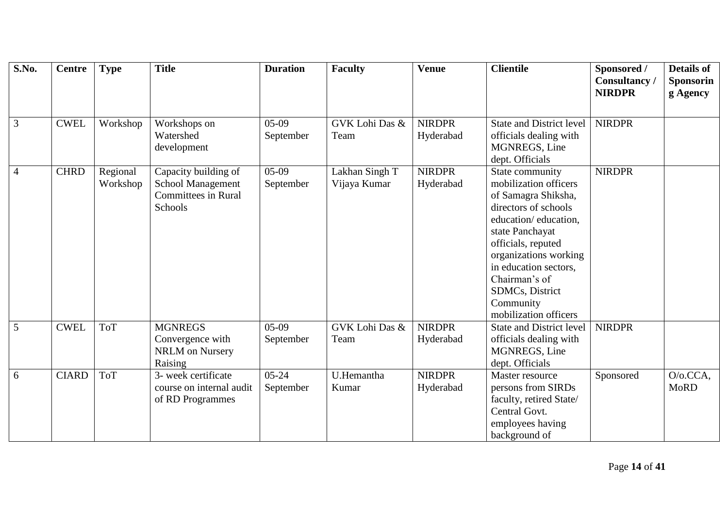| S.No.          | <b>Centre</b> | <b>Type</b> | <b>Title</b>               | <b>Duration</b> | <b>Faculty</b> | <b>Venue</b>  | <b>Clientile</b>                | Sponsored /<br>Consultancy | <b>Details of</b><br><b>Sponsorin</b> |
|----------------|---------------|-------------|----------------------------|-----------------|----------------|---------------|---------------------------------|----------------------------|---------------------------------------|
|                |               |             |                            |                 |                |               |                                 | <b>NIRDPR</b>              | g Agency                              |
|                |               |             |                            |                 |                |               |                                 |                            |                                       |
| $\mathfrak{Z}$ | <b>CWEL</b>   | Workshop    | Workshops on               | $05-09$         | GVK Lohi Das & | <b>NIRDPR</b> | <b>State and District level</b> | <b>NIRDPR</b>              |                                       |
|                |               |             | Watershed                  | September       | Team           | Hyderabad     | officials dealing with          |                            |                                       |
|                |               |             | development                |                 |                |               | MGNREGS, Line                   |                            |                                       |
|                |               |             |                            |                 |                |               | dept. Officials                 |                            |                                       |
| $\overline{4}$ | <b>CHRD</b>   | Regional    | Capacity building of       | $05-09$         | Lakhan Singh T | <b>NIRDPR</b> | State community                 | <b>NIRDPR</b>              |                                       |
|                |               | Workshop    | <b>School Management</b>   | September       | Vijaya Kumar   | Hyderabad     | mobilization officers           |                            |                                       |
|                |               |             | <b>Committees in Rural</b> |                 |                |               | of Samagra Shiksha,             |                            |                                       |
|                |               |             | Schools                    |                 |                |               | directors of schools            |                            |                                       |
|                |               |             |                            |                 |                |               | education/education,            |                            |                                       |
|                |               |             |                            |                 |                |               | state Panchayat                 |                            |                                       |
|                |               |             |                            |                 |                |               | officials, reputed              |                            |                                       |
|                |               |             |                            |                 |                |               | organizations working           |                            |                                       |
|                |               |             |                            |                 |                |               | in education sectors,           |                            |                                       |
|                |               |             |                            |                 |                |               | Chairman's of                   |                            |                                       |
|                |               |             |                            |                 |                |               | <b>SDMCs</b> , District         |                            |                                       |
|                |               |             |                            |                 |                |               | Community                       |                            |                                       |
|                |               |             |                            |                 |                |               | mobilization officers           |                            |                                       |
| 5              | <b>CWEL</b>   | <b>ToT</b>  | <b>MGNREGS</b>             | $05-09$         | GVK Lohi Das & | <b>NIRDPR</b> | <b>State and District level</b> | <b>NIRDPR</b>              |                                       |
|                |               |             | Convergence with           | September       | Team           | Hyderabad     | officials dealing with          |                            |                                       |
|                |               |             | <b>NRLM</b> on Nursery     |                 |                |               | <b>MGNREGS, Line</b>            |                            |                                       |
|                |               |             | Raising                    |                 |                |               | dept. Officials                 |                            |                                       |
| 6              | <b>CIARD</b>  | <b>ToT</b>  | 3- week certificate        | $05 - 24$       | U.Hemantha     | <b>NIRDPR</b> | Master resource                 | Sponsored                  | O/o.CCA,                              |
|                |               |             | course on internal audit   | September       | Kumar          | Hyderabad     | persons from SIRDs              |                            | <b>MoRD</b>                           |
|                |               |             | of RD Programmes           |                 |                |               | faculty, retired State/         |                            |                                       |
|                |               |             |                            |                 |                |               | Central Govt.                   |                            |                                       |
|                |               |             |                            |                 |                |               | employees having                |                            |                                       |
|                |               |             |                            |                 |                |               | background of                   |                            |                                       |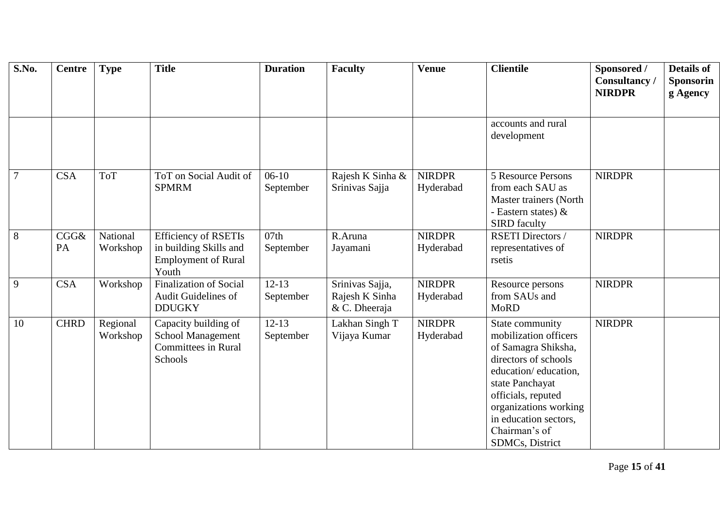| S.No.          | <b>Centre</b> | <b>Type</b>          | <b>Title</b>                                                                                 | <b>Duration</b>        | <b>Faculty</b>                                     | <b>Venue</b>               | <b>Clientile</b>                                                                                                                                                                                                                               | Sponsored /<br>Consultancy<br><b>NIRDPR</b> | <b>Details of</b><br><b>Sponsorin</b><br>g Agency |
|----------------|---------------|----------------------|----------------------------------------------------------------------------------------------|------------------------|----------------------------------------------------|----------------------------|------------------------------------------------------------------------------------------------------------------------------------------------------------------------------------------------------------------------------------------------|---------------------------------------------|---------------------------------------------------|
|                |               |                      |                                                                                              |                        |                                                    |                            | accounts and rural<br>development                                                                                                                                                                                                              |                                             |                                                   |
| $\overline{7}$ | <b>CSA</b>    | <b>ToT</b>           | ToT on Social Audit of<br><b>SPMRM</b>                                                       | $06-10$<br>September   | Rajesh K Sinha &<br>Srinivas Sajja                 | <b>NIRDPR</b><br>Hyderabad | 5 Resource Persons<br>from each SAU as<br>Master trainers (North<br>- Eastern states) $\&$<br><b>SIRD</b> faculty                                                                                                                              | <b>NIRDPR</b>                               |                                                   |
| 8              | CGG&<br>PA    | National<br>Workshop | <b>Efficiency of RSETIs</b><br>in building Skills and<br><b>Employment of Rural</b><br>Youth | 07th<br>September      | R.Aruna<br>Jayamani                                | <b>NIRDPR</b><br>Hyderabad | <b>RSETI Directors /</b><br>representatives of<br>rsetis                                                                                                                                                                                       | <b>NIRDPR</b>                               |                                                   |
| 9              | <b>CSA</b>    | Workshop             | <b>Finalization of Social</b><br><b>Audit Guidelines of</b><br><b>DDUGKY</b>                 | $12-13$<br>September   | Srinivas Sajja,<br>Rajesh K Sinha<br>& C. Dheeraja | <b>NIRDPR</b><br>Hyderabad | Resource persons<br>from SAUs and<br><b>MoRD</b>                                                                                                                                                                                               | <b>NIRDPR</b>                               |                                                   |
| 10             | <b>CHRD</b>   | Regional<br>Workshop | Capacity building of<br>School Management<br><b>Committees in Rural</b><br>Schools           | $12 - 13$<br>September | Lakhan Singh T<br>Vijaya Kumar                     | <b>NIRDPR</b><br>Hyderabad | State community<br>mobilization officers<br>of Samagra Shiksha,<br>directors of schools<br>education/education,<br>state Panchayat<br>officials, reputed<br>organizations working<br>in education sectors,<br>Chairman's of<br>SDMCs, District | <b>NIRDPR</b>                               |                                                   |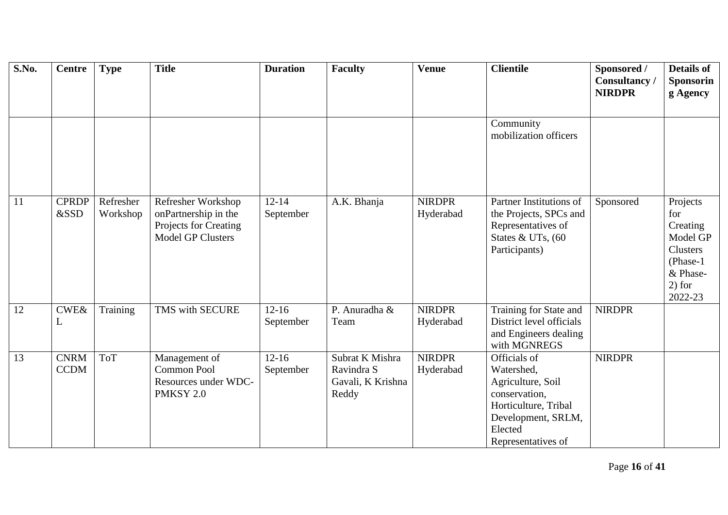| S.No. | <b>Centre</b>              | <b>Type</b>           | <b>Title</b>                                                                                    | <b>Duration</b>        | <b>Faculty</b>                                              | <b>Venue</b>               | <b>Clientile</b>                                                                                                                                | Sponsored /<br><b>Consultancy</b><br><b>NIRDPR</b> | <b>Details of</b><br><b>Sponsorin</b><br>g Agency                                                   |
|-------|----------------------------|-----------------------|-------------------------------------------------------------------------------------------------|------------------------|-------------------------------------------------------------|----------------------------|-------------------------------------------------------------------------------------------------------------------------------------------------|----------------------------------------------------|-----------------------------------------------------------------------------------------------------|
|       |                            |                       |                                                                                                 |                        |                                                             |                            | Community<br>mobilization officers                                                                                                              |                                                    |                                                                                                     |
| 11    | <b>CPRDP</b><br>&SSD       | Refresher<br>Workshop | Refresher Workshop<br>onPartnership in the<br>Projects for Creating<br><b>Model GP Clusters</b> | $12 - 14$<br>September | A.K. Bhanja                                                 | <b>NIRDPR</b><br>Hyderabad | Partner Institutions of<br>the Projects, SPCs and<br>Representatives of<br>States & UTs, (60<br>Participants)                                   | Sponsored                                          | Projects<br>for<br>Creating<br>Model GP<br>Clusters<br>(Phase-1)<br>& Phase-<br>$2)$ for<br>2022-23 |
| 12    | CWE&<br>L                  | Training              | TMS with SECURE                                                                                 | $12 - 16$<br>September | P. Anuradha &<br>Team                                       | <b>NIRDPR</b><br>Hyderabad | Training for State and<br>District level officials<br>and Engineers dealing<br>with MGNREGS                                                     | <b>NIRDPR</b>                                      |                                                                                                     |
| 13    | <b>CNRM</b><br><b>CCDM</b> | <b>ToT</b>            | Management of<br><b>Common Pool</b><br>Resources under WDC-<br>PMKSY 2.0                        | $12-16$<br>September   | Subrat K Mishra<br>Ravindra S<br>Gavali, K Krishna<br>Reddy | <b>NIRDPR</b><br>Hyderabad | Officials of<br>Watershed,<br>Agriculture, Soil<br>conservation,<br>Horticulture, Tribal<br>Development, SRLM,<br>Elected<br>Representatives of | <b>NIRDPR</b>                                      |                                                                                                     |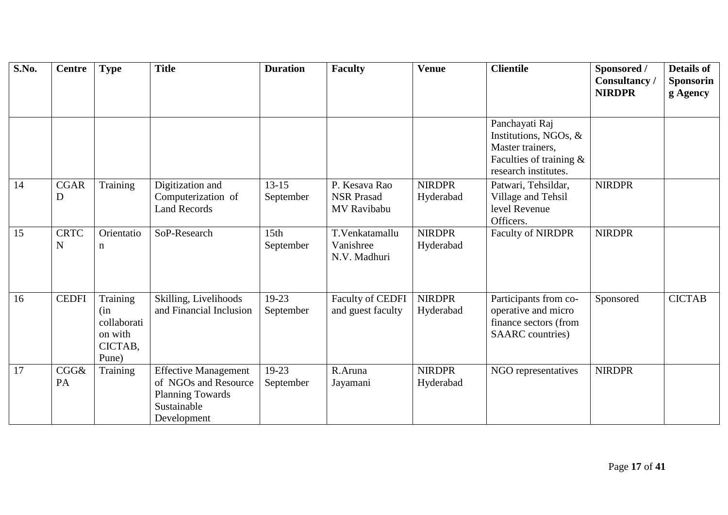| S.No. | <b>Centre</b> | <b>Type</b>            | <b>Title</b>                           | <b>Duration</b>  | <b>Faculty</b>    | <b>Venue</b>  | <b>Clientile</b>                                   | Sponsored /<br>Consultancy / | <b>Details of</b><br><b>Sponsorin</b> |
|-------|---------------|------------------------|----------------------------------------|------------------|-------------------|---------------|----------------------------------------------------|------------------------------|---------------------------------------|
|       |               |                        |                                        |                  |                   |               |                                                    | <b>NIRDPR</b>                | g Agency                              |
|       |               |                        |                                        |                  |                   |               | Panchayati Raj                                     |                              |                                       |
|       |               |                        |                                        |                  |                   |               | Institutions, NGOs, &                              |                              |                                       |
|       |               |                        |                                        |                  |                   |               | Master trainers,                                   |                              |                                       |
|       |               |                        |                                        |                  |                   |               | Faculties of training $\&$<br>research institutes. |                              |                                       |
| 14    | <b>CGAR</b>   | Training               | Digitization and                       | $13 - 15$        | P. Kesava Rao     | <b>NIRDPR</b> | Patwari, Tehsildar,                                | <b>NIRDPR</b>                |                                       |
|       | D             |                        | Computerization of                     | September        | <b>NSR Prasad</b> | Hyderabad     | Village and Tehsil                                 |                              |                                       |
|       |               |                        | <b>Land Records</b>                    |                  | MV Ravibabu       |               | level Revenue<br>Officers.                         |                              |                                       |
| 15    | <b>CRTC</b>   | Orientatio             | SoP-Research                           | 15 <sub>th</sub> | T.Venkatamallu    | <b>NIRDPR</b> | <b>Faculty of NIRDPR</b>                           | <b>NIRDPR</b>                |                                       |
|       | $\mathbf N$   | n                      |                                        | September        | Vanishree         | Hyderabad     |                                                    |                              |                                       |
|       |               |                        |                                        |                  | N.V. Madhuri      |               |                                                    |                              |                                       |
|       |               |                        |                                        |                  |                   |               |                                                    |                              |                                       |
| 16    | <b>CEDFI</b>  | Training               | Skilling, Livelihoods                  | 19-23            | Faculty of CEDFI  | <b>NIRDPR</b> | Participants from co-                              | Sponsored                    | <b>CICTAB</b>                         |
|       |               | (in                    | and Financial Inclusion                | September        | and guest faculty | Hyderabad     | operative and micro                                |                              |                                       |
|       |               | collaborati<br>on with |                                        |                  |                   |               | finance sectors (from<br><b>SAARC</b> countries)   |                              |                                       |
|       |               | CICTAB,                |                                        |                  |                   |               |                                                    |                              |                                       |
|       |               | Pune)                  |                                        |                  |                   |               |                                                    |                              |                                       |
| 17    | CGG&          | Training               | <b>Effective Management</b>            | $19-23$          | R.Aruna           | <b>NIRDPR</b> | NGO representatives                                | <b>NIRDPR</b>                |                                       |
|       | PA            |                        | of NGOs and Resource                   | September        | Jayamani          | Hyderabad     |                                                    |                              |                                       |
|       |               |                        | <b>Planning Towards</b><br>Sustainable |                  |                   |               |                                                    |                              |                                       |
|       |               |                        | Development                            |                  |                   |               |                                                    |                              |                                       |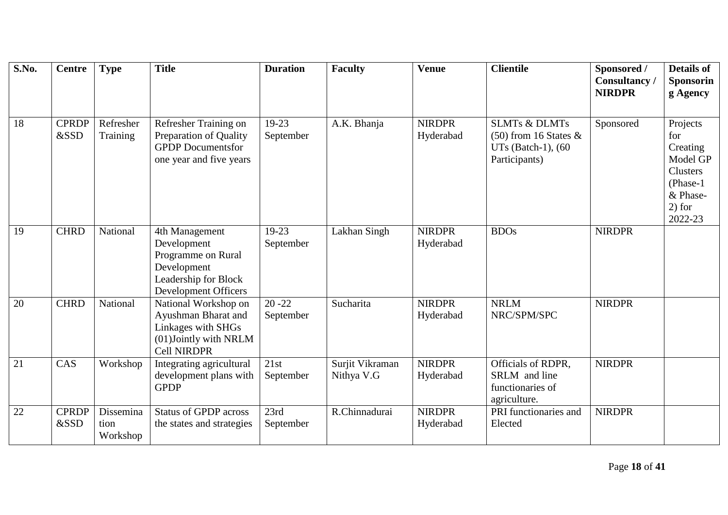| S.No. | <b>Centre</b>        | <b>Type</b>                   | <b>Title</b>                                                                                                       | <b>Duration</b>        | <b>Faculty</b>                | <b>Venue</b>               | <b>Clientile</b>                                                        | Sponsored /<br>Consultancy<br><b>NIRDPR</b> | <b>Details of</b><br><b>Sponsorin</b><br>g Agency                                             |
|-------|----------------------|-------------------------------|--------------------------------------------------------------------------------------------------------------------|------------------------|-------------------------------|----------------------------|-------------------------------------------------------------------------|---------------------------------------------|-----------------------------------------------------------------------------------------------|
| 18    | <b>CPRDP</b>         | Refresher                     | Refresher Training on                                                                                              | 19-23                  | A.K. Bhanja                   | <b>NIRDPR</b>              | <b>SLMTs &amp; DLMTs</b>                                                | Sponsored                                   | Projects                                                                                      |
|       | &SSD                 | Training                      | Preparation of Quality<br><b>GPDP</b> Documentsfor<br>one year and five years                                      | September              |                               | Hyderabad                  | $(50)$ from 16 States &<br>UTs (Batch-1), (60<br>Participants)          |                                             | for<br>Creating<br>Model GP<br><b>Clusters</b><br>(Phase-1<br>& Phase-<br>$2)$ for<br>2022-23 |
| 19    | <b>CHRD</b>          | National                      | 4th Management<br>Development<br>Programme on Rural<br>Development<br>Leadership for Block<br>Development Officers | $19 - 23$<br>September | Lakhan Singh                  | <b>NIRDPR</b><br>Hyderabad | <b>BDOs</b>                                                             | <b>NIRDPR</b>                               |                                                                                               |
| 20    | <b>CHRD</b>          | National                      | National Workshop on<br>Ayushman Bharat and<br>Linkages with SHGs<br>(01)Jointly with NRLM<br><b>Cell NIRDPR</b>   | $20 - 22$<br>September | Sucharita                     | <b>NIRDPR</b><br>Hyderabad | <b>NRLM</b><br>NRC/SPM/SPC                                              | <b>NIRDPR</b>                               |                                                                                               |
| 21    | CAS                  | Workshop                      | Integrating agricultural<br>development plans with<br><b>GPDP</b>                                                  | 21st<br>September      | Surjit Vikraman<br>Nithya V.G | <b>NIRDPR</b><br>Hyderabad | Officials of RDPR,<br>SRLM and line<br>functionaries of<br>agriculture. | <b>NIRDPR</b>                               |                                                                                               |
| 22    | <b>CPRDP</b><br>&SSD | Dissemina<br>tion<br>Workshop | <b>Status of GPDP across</b><br>the states and strategies                                                          | 23rd<br>September      | R.Chinnadurai                 | <b>NIRDPR</b><br>Hyderabad | PRI functionaries and<br>Elected                                        | <b>NIRDPR</b>                               |                                                                                               |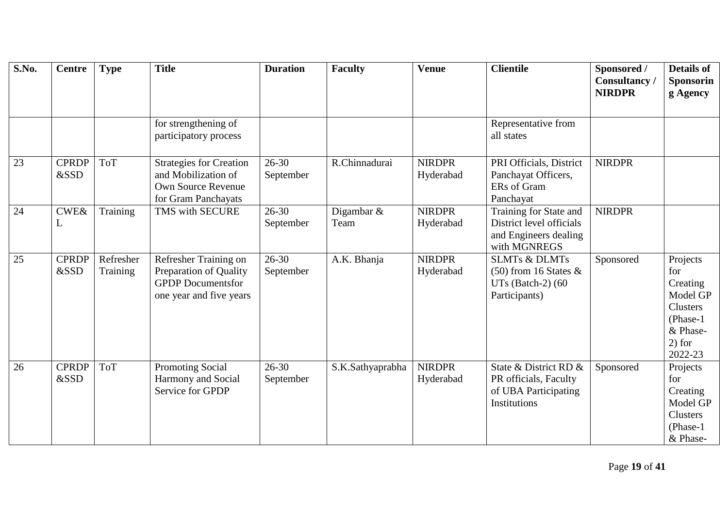| S.No. | <b>Centre</b>        | <b>Type</b>           | <b>Title</b>                                                                                           | <b>Duration</b>        | <b>Faculty</b>     | <b>Venue</b>               | <b>Clientile</b>                                                                            | Sponsored /<br>Consultancy<br><b>NIRDPR</b> | <b>Details of</b><br><b>Sponsorin</b><br>g Agency                                                   |
|-------|----------------------|-----------------------|--------------------------------------------------------------------------------------------------------|------------------------|--------------------|----------------------------|---------------------------------------------------------------------------------------------|---------------------------------------------|-----------------------------------------------------------------------------------------------------|
|       |                      |                       | for strengthening of<br>participatory process                                                          |                        |                    |                            | Representative from<br>all states                                                           |                                             |                                                                                                     |
| 23    | <b>CPRDP</b><br>&SSD | <b>ToT</b>            | <b>Strategies for Creation</b><br>and Mobilization of<br>Own Source Revenue<br>for Gram Panchayats     | $26 - 30$<br>September | R.Chinnadurai      | <b>NIRDPR</b><br>Hyderabad | PRI Officials, District<br>Panchayat Officers,<br>ERs of Gram<br>Panchayat                  | <b>NIRDPR</b>                               |                                                                                                     |
| 24    | $\text{CWE} \&$<br>L | Training              | TMS with SECURE                                                                                        | $26 - 30$<br>September | Digambar &<br>Team | <b>NIRDPR</b><br>Hyderabad | Training for State and<br>District level officials<br>and Engineers dealing<br>with MGNREGS | <b>NIRDPR</b>                               |                                                                                                     |
| 25    | <b>CPRDP</b><br>&SSD | Refresher<br>Training | Refresher Training on<br>Preparation of Quality<br><b>GPDP</b> Documentsfor<br>one year and five years | $26 - 30$<br>September | A.K. Bhanja        | <b>NIRDPR</b><br>Hyderabad | <b>SLMTs &amp; DLMTs</b><br>$(50)$ from 16 States &<br>UTs (Batch-2) $(60$<br>Participants) | Sponsored                                   | Projects<br>for<br>Creating<br>Model GP<br>Clusters<br>(Phase-1)<br>& Phase-<br>$2)$ for<br>2022-23 |
| 26    | <b>CPRDP</b><br>&SSD | <b>ToT</b>            | <b>Promoting Social</b><br>Harmony and Social<br>Service for GPDP                                      | $26 - 30$<br>September | S.K.Sathyaprabha   | <b>NIRDPR</b><br>Hyderabad | State & District RD &<br>PR officials, Faculty<br>of UBA Participating<br>Institutions      | Sponsored                                   | Projects<br>for<br>Creating<br>Model GP<br><b>Clusters</b><br>(Phase-1)<br>& Phase-                 |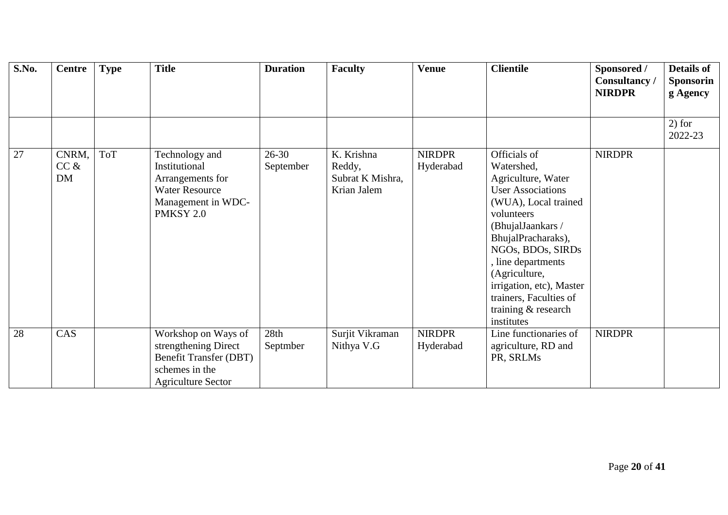| <b>S.No.</b> | <b>Centre</b>       | <b>Type</b> | <b>Title</b>                                                                                                                | <b>Duration</b>        | <b>Faculty</b>                                          | <b>Venue</b>               | <b>Clientile</b>                                                                                                                                                                                                                                                                                                     | Sponsored /<br><b>Consultancy</b> /<br><b>NIRDPR</b> | <b>Details of</b><br><b>Sponsorin</b><br>g Agency |
|--------------|---------------------|-------------|-----------------------------------------------------------------------------------------------------------------------------|------------------------|---------------------------------------------------------|----------------------------|----------------------------------------------------------------------------------------------------------------------------------------------------------------------------------------------------------------------------------------------------------------------------------------------------------------------|------------------------------------------------------|---------------------------------------------------|
|              |                     |             |                                                                                                                             |                        |                                                         |                            |                                                                                                                                                                                                                                                                                                                      |                                                      | $2)$ for<br>2022-23                               |
| 27           | CNRM,<br>CC &<br>DM | <b>ToT</b>  | Technology and<br>Institutional<br>Arrangements for<br><b>Water Resource</b><br>Management in WDC-<br>PMKSY 2.0             | $26 - 30$<br>September | K. Krishna<br>Reddy,<br>Subrat K Mishra,<br>Krian Jalem | <b>NIRDPR</b><br>Hyderabad | Officials of<br>Watershed,<br>Agriculture, Water<br><b>User Associations</b><br>(WUA), Local trained<br>volunteers<br>(BhujalJaankars /<br>BhujalPracharaks),<br>NGOs, BDOs, SIRDs<br>, line departments<br>(Agriculture,<br>irrigation, etc), Master<br>trainers, Faculties of<br>training & research<br>institutes | <b>NIRDPR</b>                                        |                                                   |
| 28           | CAS                 |             | Workshop on Ways of<br>strengthening Direct<br><b>Benefit Transfer (DBT)</b><br>schemes in the<br><b>Agriculture Sector</b> | 28th<br>Septmber       | Surjit Vikraman<br>Nithya V.G                           | <b>NIRDPR</b><br>Hyderabad | Line functionaries of<br>agriculture, RD and<br>PR, SRLMs                                                                                                                                                                                                                                                            | <b>NIRDPR</b>                                        |                                                   |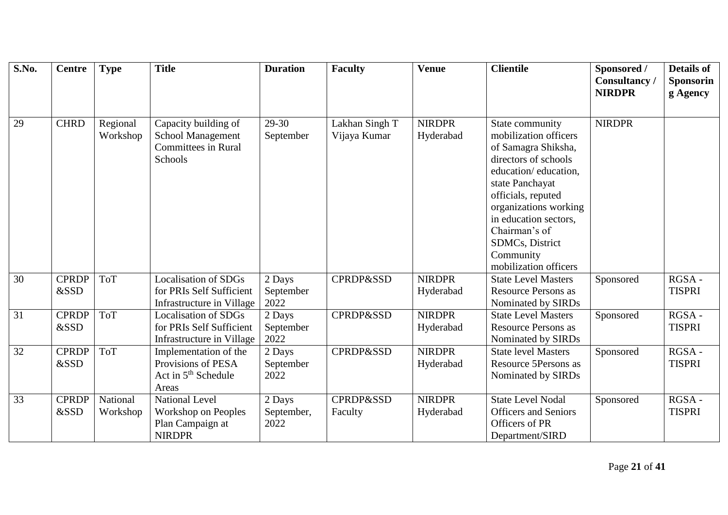| S.No.           | <b>Centre</b>        | <b>Type</b>          | <b>Title</b>                                                                             | <b>Duration</b>              | <b>Faculty</b>                  | <b>Venue</b>               | <b>Clientile</b>                                                                                                                                                                                                                                                                     | Sponsored /<br>Consultancy /<br><b>NIRDPR</b> | <b>Details of</b><br><b>Sponsorin</b><br>g Agency |
|-----------------|----------------------|----------------------|------------------------------------------------------------------------------------------|------------------------------|---------------------------------|----------------------------|--------------------------------------------------------------------------------------------------------------------------------------------------------------------------------------------------------------------------------------------------------------------------------------|-----------------------------------------------|---------------------------------------------------|
| 29              | <b>CHRD</b>          | Regional<br>Workshop | Capacity building of<br>School Management<br><b>Committees in Rural</b><br>Schools       | 29-30<br>September           | Lakhan Singh T<br>Vijaya Kumar  | <b>NIRDPR</b><br>Hyderabad | State community<br>mobilization officers<br>of Samagra Shiksha,<br>directors of schools<br>education/education,<br>state Panchayat<br>officials, reputed<br>organizations working<br>in education sectors,<br>Chairman's of<br>SDMCs, District<br>Community<br>mobilization officers | <b>NIRDPR</b>                                 |                                                   |
| $\overline{30}$ | <b>CPRDP</b><br>&SSD | <b>ToT</b>           | <b>Localisation of SDGs</b><br>for PRIs Self Sufficient<br>Infrastructure in Village     | 2 Days<br>September<br>2022  | <b>CPRDP&amp;SSD</b>            | <b>NIRDPR</b><br>Hyderabad | <b>State Level Masters</b><br><b>Resource Persons as</b><br>Nominated by SIRDs                                                                                                                                                                                                       | Sponsored                                     | RGSA-<br><b>TISPRI</b>                            |
| 31              | <b>CPRDP</b><br>&SSD | <b>ToT</b>           | <b>Localisation of SDGs</b><br>for PRIs Self Sufficient<br>Infrastructure in Village     | 2 Days<br>September<br>2022  | <b>CPRDP&amp;SSD</b>            | <b>NIRDPR</b><br>Hyderabad | <b>State Level Masters</b><br><b>Resource Persons as</b><br>Nominated by SIRDs                                                                                                                                                                                                       | Sponsored                                     | RGSA-<br><b>TISPRI</b>                            |
| 32              | <b>CPRDP</b><br>&SSD | <b>ToT</b>           | Implementation of the<br>Provisions of PESA<br>Act in 5 <sup>th</sup> Schedule<br>Areas  | 2 Days<br>September<br>2022  | <b>CPRDP&amp;SSD</b>            | <b>NIRDPR</b><br>Hyderabad | <b>State level Masters</b><br>Resource 5Persons as<br>Nominated by SIRDs                                                                                                                                                                                                             | Sponsored                                     | RGSA-<br><b>TISPRI</b>                            |
| $\overline{33}$ | <b>CPRDP</b><br>&SSD | National<br>Workshop | <b>National Level</b><br><b>Workshop on Peoples</b><br>Plan Campaign at<br><b>NIRDPR</b> | 2 Days<br>September,<br>2022 | <b>CPRDP&amp;SSD</b><br>Faculty | <b>NIRDPR</b><br>Hyderabad | <b>State Level Nodal</b><br><b>Officers</b> and Seniors<br>Officers of PR<br>Department/SIRD                                                                                                                                                                                         | Sponsored                                     | RGSA-<br><b>TISPRI</b>                            |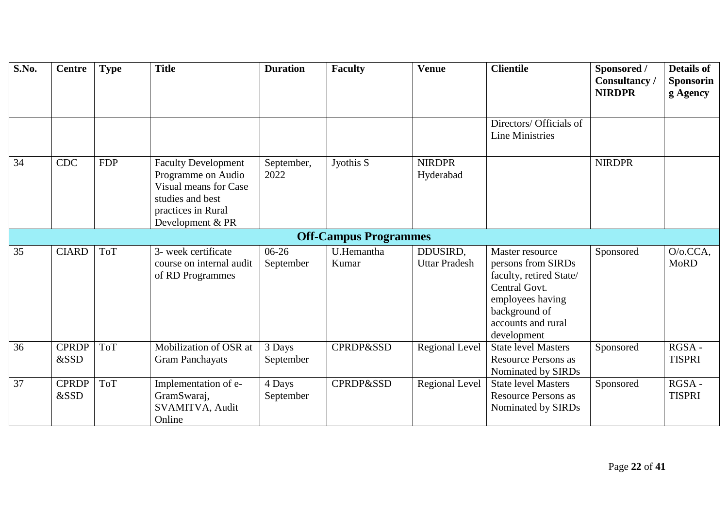| S.No. | <b>Centre</b>        | <b>Type</b> | <b>Title</b>                                                                                                                            | <b>Duration</b>      | <b>Faculty</b>               | <b>Venue</b>                     | <b>Clientile</b>                                                                                                                                            | Sponsored /<br>Consultancy/<br><b>NIRDPR</b> | <b>Details of</b><br><b>Sponsorin</b><br>g Agency |
|-------|----------------------|-------------|-----------------------------------------------------------------------------------------------------------------------------------------|----------------------|------------------------------|----------------------------------|-------------------------------------------------------------------------------------------------------------------------------------------------------------|----------------------------------------------|---------------------------------------------------|
|       |                      |             |                                                                                                                                         |                      |                              |                                  | Directors/ Officials of<br>Line Ministries                                                                                                                  |                                              |                                                   |
| 34    | <b>CDC</b>           | <b>FDP</b>  | <b>Faculty Development</b><br>Programme on Audio<br>Visual means for Case<br>studies and best<br>practices in Rural<br>Development & PR | September,<br>2022   | Jyothis S                    | <b>NIRDPR</b><br>Hyderabad       |                                                                                                                                                             | <b>NIRDPR</b>                                |                                                   |
|       |                      |             |                                                                                                                                         |                      | <b>Off-Campus Programmes</b> |                                  |                                                                                                                                                             |                                              |                                                   |
| 35    | <b>CIARD</b>         | <b>ToT</b>  | 3- week certificate<br>course on internal audit<br>of RD Programmes                                                                     | $06-26$<br>September | U.Hemantha<br>Kumar          | DDUSIRD,<br><b>Uttar Pradesh</b> | Master resource<br>persons from SIRDs<br>faculty, retired State/<br>Central Govt.<br>employees having<br>background of<br>accounts and rural<br>development | Sponsored                                    | $O/O.CCA$ ,<br><b>MoRD</b>                        |
| 36    | <b>CPRDP</b><br>&SSD | <b>ToT</b>  | Mobilization of OSR at<br><b>Gram Panchayats</b>                                                                                        | 3 Days<br>September  | <b>CPRDP&amp;SSD</b>         | Regional Level                   | <b>State level Masters</b><br><b>Resource Persons as</b><br>Nominated by SIRDs                                                                              | Sponsored                                    | $RGSA -$<br><b>TISPRI</b>                         |
| 37    | <b>CPRDP</b><br>&SSD | <b>ToT</b>  | Implementation of e-<br>GramSwaraj,<br>SVAMITVA, Audit<br>Online                                                                        | 4 Days<br>September  | <b>CPRDP&amp;SSD</b>         | <b>Regional Level</b>            | <b>State level Masters</b><br><b>Resource Persons as</b><br>Nominated by SIRDs                                                                              | Sponsored                                    | RGSA-<br><b>TISPRI</b>                            |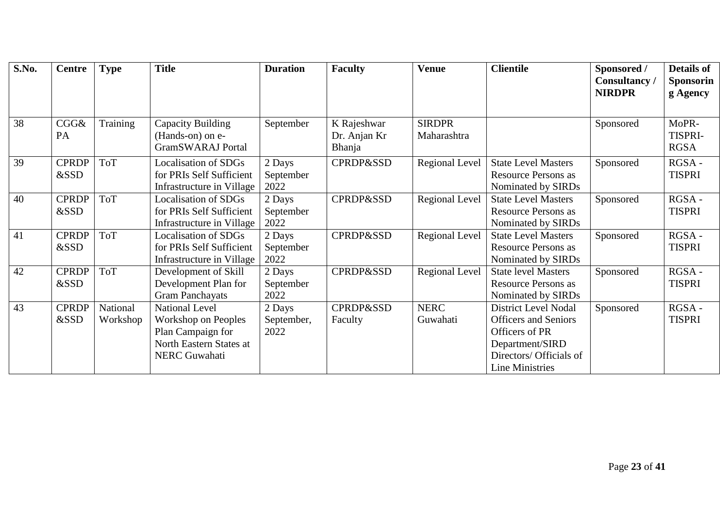| S.No. | <b>Centre</b>        | <b>Type</b>          | <b>Title</b>                                                                                                                | <b>Duration</b>              | <b>Faculty</b>                               | <b>Venue</b>                 | <b>Clientile</b>                                                                                                                              | Sponsored /<br><b>Consultancy</b> /<br><b>NIRDPR</b> | <b>Details of</b><br><b>Sponsorin</b><br>g Agency |
|-------|----------------------|----------------------|-----------------------------------------------------------------------------------------------------------------------------|------------------------------|----------------------------------------------|------------------------------|-----------------------------------------------------------------------------------------------------------------------------------------------|------------------------------------------------------|---------------------------------------------------|
| 38    | CGG&<br>PA           | Training             | Capacity Building<br>(Hands-on) on e-<br><b>GramSWARAJ</b> Portal                                                           | September                    | K Rajeshwar<br>Dr. Anjan Kr<br><b>Bhanja</b> | <b>SIRDPR</b><br>Maharashtra |                                                                                                                                               | Sponsored                                            | MoPR-<br>TISPRI-<br><b>RGSA</b>                   |
| 39    | <b>CPRDP</b><br>&SSD | <b>ToT</b>           | <b>Localisation of SDGs</b><br>for PRIs Self Sufficient<br>Infrastructure in Village                                        | 2 Days<br>September<br>2022  | <b>CPRDP&amp;SSD</b>                         | <b>Regional Level</b>        | <b>State Level Masters</b><br><b>Resource Persons as</b><br>Nominated by SIRDs                                                                | Sponsored                                            | RGSA-<br><b>TISPRI</b>                            |
| 40    | <b>CPRDP</b><br>&SSD | <b>ToT</b>           | Localisation of SDGs<br>for PRIs Self Sufficient<br>Infrastructure in Village                                               | 2 Days<br>September<br>2022  | <b>CPRDP&amp;SSD</b>                         | <b>Regional Level</b>        | <b>State Level Masters</b><br><b>Resource Persons as</b><br>Nominated by SIRDs                                                                | Sponsored                                            | RGSA-<br><b>TISPRI</b>                            |
| 41    | <b>CPRDP</b><br>&SSD | <b>ToT</b>           | <b>Localisation of SDGs</b><br>for PRIs Self Sufficient<br>Infrastructure in Village                                        | 2 Days<br>September<br>2022  | <b>CPRDP&amp;SSD</b>                         | <b>Regional Level</b>        | <b>State Level Masters</b><br><b>Resource Persons as</b><br>Nominated by SIRDs                                                                | Sponsored                                            | RGSA-<br><b>TISPRI</b>                            |
| 42    | <b>CPRDP</b><br>&SSD | <b>ToT</b>           | Development of Skill<br>Development Plan for<br><b>Gram Panchayats</b>                                                      | 2 Days<br>September<br>2022  | <b>CPRDP&amp;SSD</b>                         | <b>Regional Level</b>        | <b>State level Masters</b><br><b>Resource Persons as</b><br>Nominated by SIRDs                                                                | Sponsored                                            | RGSA-<br><b>TISPRI</b>                            |
| 43    | <b>CPRDP</b><br>&SSD | National<br>Workshop | <b>National Level</b><br><b>Workshop on Peoples</b><br>Plan Campaign for<br>North Eastern States at<br><b>NERC</b> Guwahati | 2 Days<br>September,<br>2022 | <b>CPRDP&amp;SSD</b><br>Faculty              | <b>NERC</b><br>Guwahati      | <b>District Level Nodal</b><br><b>Officers</b> and Seniors<br>Officers of PR<br>Department/SIRD<br>Directors/ Officials of<br>Line Ministries | Sponsored                                            | RGSA-<br><b>TISPRI</b>                            |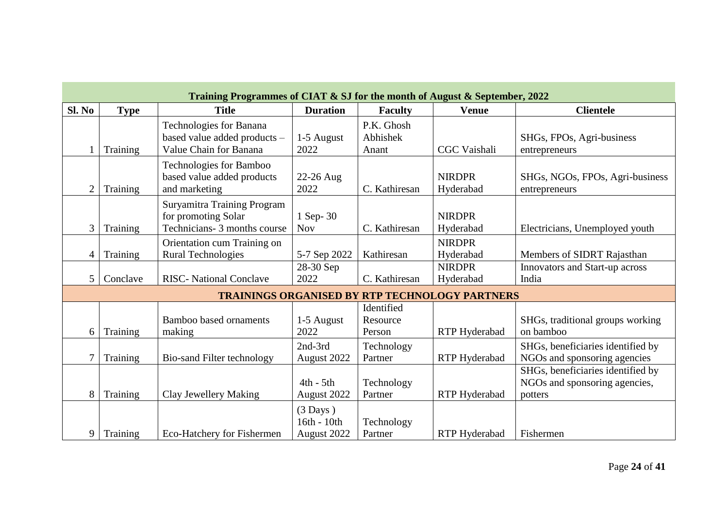|                | Training Programmes of CIAT & SJ for the month of August & September, 2022 |                                                                                           |                                                  |                                  |                                                       |                                                                               |  |  |  |  |  |  |
|----------------|----------------------------------------------------------------------------|-------------------------------------------------------------------------------------------|--------------------------------------------------|----------------------------------|-------------------------------------------------------|-------------------------------------------------------------------------------|--|--|--|--|--|--|
| Sl. No         | <b>Type</b>                                                                | <b>Title</b>                                                                              | <b>Duration</b>                                  | <b>Faculty</b>                   | <b>Venue</b>                                          | <b>Clientele</b>                                                              |  |  |  |  |  |  |
|                | Training                                                                   | Technologies for Banana<br>based value added products -<br>Value Chain for Banana         | 1-5 August<br>2022                               | P.K. Ghosh<br>Abhishek<br>Anant  | <b>CGC</b> Vaishali                                   | SHGs, FPOs, Agri-business<br>entrepreneurs                                    |  |  |  |  |  |  |
| $\overline{2}$ | Training                                                                   | Technologies for Bamboo<br>based value added products<br>and marketing                    | 22-26 Aug<br>2022                                | C. Kathiresan                    | <b>NIRDPR</b><br>Hyderabad                            | SHGs, NGOs, FPOs, Agri-business<br>entrepreneurs                              |  |  |  |  |  |  |
| 3              | Training                                                                   | <b>Suryamitra Training Program</b><br>for promoting Solar<br>Technicians- 3 months course | 1 Sep-30<br><b>Nov</b>                           | C. Kathiresan                    | <b>NIRDPR</b><br>Hyderabad                            | Electricians, Unemployed youth                                                |  |  |  |  |  |  |
| $\overline{4}$ | Training                                                                   | Orientation cum Training on<br><b>Rural Technologies</b>                                  | 5-7 Sep 2022                                     | Kathiresan                       | <b>NIRDPR</b><br>Hyderabad                            | Members of SIDRT Rajasthan                                                    |  |  |  |  |  |  |
| 5              | Conclave                                                                   | <b>RISC-</b> National Conclave                                                            | 28-30 Sep<br>2022                                | C. Kathiresan                    | <b>NIRDPR</b><br>Hyderabad                            | Innovators and Start-up across<br>India                                       |  |  |  |  |  |  |
|                |                                                                            |                                                                                           |                                                  |                                  | <b>TRAININGS ORGANISED BY RTP TECHNOLOGY PARTNERS</b> |                                                                               |  |  |  |  |  |  |
| 6              | Training                                                                   | Bamboo based ornaments<br>making                                                          | 1-5 August<br>2022                               | Identified<br>Resource<br>Person | RTP Hyderabad                                         | SHGs, traditional groups working<br>on bamboo                                 |  |  |  |  |  |  |
| $\overline{7}$ | Training                                                                   | Bio-sand Filter technology                                                                | 2nd-3rd<br>August 2022                           | Technology<br>Partner            | RTP Hyderabad                                         | SHGs, beneficiaries identified by<br>NGOs and sponsoring agencies             |  |  |  |  |  |  |
| 8              | Training                                                                   | Clay Jewellery Making                                                                     | $4th - 5th$<br>August 2022                       | Technology<br>Partner            | RTP Hyderabad                                         | SHGs, beneficiaries identified by<br>NGOs and sponsoring agencies,<br>potters |  |  |  |  |  |  |
| 9              | Training                                                                   | Eco-Hatchery for Fishermen                                                                | $(3 \text{ Days})$<br>16th - 10th<br>August 2022 | Technology<br>Partner            | <b>RTP</b> Hyderabad                                  | Fishermen                                                                     |  |  |  |  |  |  |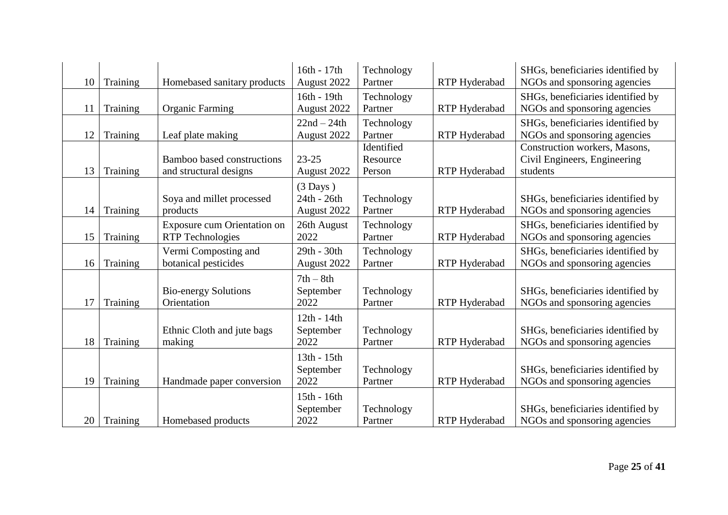| 10 | Training | Homebased sanitary products                            | 16th - 17th<br>August 2022               | Technology<br>Partner            | RTP Hyderabad        | SHGs, beneficiaries identified by<br>NGOs and sponsoring agencies         |
|----|----------|--------------------------------------------------------|------------------------------------------|----------------------------------|----------------------|---------------------------------------------------------------------------|
| 11 | Training | <b>Organic Farming</b>                                 | 16th - 19th<br>August 2022               | Technology<br>Partner            | RTP Hyderabad        | SHGs, beneficiaries identified by<br>NGOs and sponsoring agencies         |
| 12 | Training | Leaf plate making                                      | $22nd - 24th$<br>August 2022             | Technology<br>Partner            | RTP Hyderabad        | SHGs, beneficiaries identified by<br>NGOs and sponsoring agencies         |
| 13 | Training | Bamboo based constructions<br>and structural designs   | $23 - 25$<br>August 2022                 | Identified<br>Resource<br>Person | RTP Hyderabad        | Construction workers, Masons,<br>Civil Engineers, Engineering<br>students |
| 14 | Training | Soya and millet processed<br>products                  | $(3$ Days)<br>24th - 26th<br>August 2022 | Technology<br>Partner            | <b>RTP</b> Hyderabad | SHGs, beneficiaries identified by<br>NGOs and sponsoring agencies         |
| 15 | Training | Exposure cum Orientation on<br><b>RTP</b> Technologies | 26th August<br>2022                      | Technology<br>Partner            | <b>RTP</b> Hyderabad | SHGs, beneficiaries identified by<br>NGOs and sponsoring agencies         |
| 16 | Training | Vermi Composting and<br>botanical pesticides           | $29th - 30th$<br>August 2022             | Technology<br>Partner            | <b>RTP</b> Hyderabad | SHGs, beneficiaries identified by<br>NGOs and sponsoring agencies         |
| 17 | Training | <b>Bio-energy Solutions</b><br>Orientation             | $7th - 8th$<br>September<br>2022         | Technology<br>Partner            | RTP Hyderabad        | SHGs, beneficiaries identified by<br>NGOs and sponsoring agencies         |
| 18 | Training | Ethnic Cloth and jute bags<br>making                   | $12th - 14th$<br>September<br>2022       | Technology<br>Partner            | RTP Hyderabad        | SHGs, beneficiaries identified by<br>NGOs and sponsoring agencies         |
| 19 | Training | Handmade paper conversion                              | 13th - 15th<br>September<br>2022         | Technology<br>Partner            | RTP Hyderabad        | SHGs, beneficiaries identified by<br>NGOs and sponsoring agencies         |
| 20 | Training | Homebased products                                     | 15th - 16th<br>September<br>2022         | Technology<br>Partner            | RTP Hyderabad        | SHGs, beneficiaries identified by<br>NGOs and sponsoring agencies         |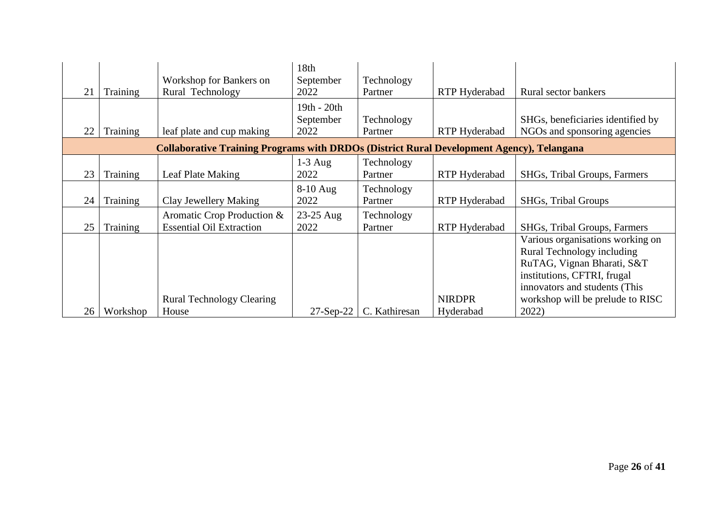| 21 | Training | Workshop for Bankers on<br>Rural Technology                                                      | 18th<br>September<br>2022        | Technology<br>Partner | RTP Hyderabad              | Rural sector bankers                                                                                                                                         |
|----|----------|--------------------------------------------------------------------------------------------------|----------------------------------|-----------------------|----------------------------|--------------------------------------------------------------------------------------------------------------------------------------------------------------|
| 22 | Training | leaf plate and cup making                                                                        | 19th - 20th<br>September<br>2022 | Technology<br>Partner | RTP Hyderabad              | SHGs, beneficiaries identified by<br>NGOs and sponsoring agencies                                                                                            |
|    |          | <b>Collaborative Training Programs with DRDOs (District Rural Development Agency), Telangana</b> |                                  |                       |                            |                                                                                                                                                              |
| 23 | Training | Leaf Plate Making                                                                                | $1-3$ Aug<br>2022                | Technology<br>Partner | RTP Hyderabad              | SHGs, Tribal Groups, Farmers                                                                                                                                 |
| 24 | Training | Clay Jewellery Making                                                                            | $8-10$ Aug<br>2022               | Technology<br>Partner | RTP Hyderabad              | SHGs, Tribal Groups                                                                                                                                          |
| 25 | Training | Aromatic Crop Production &<br><b>Essential Oil Extraction</b>                                    | 23-25 Aug<br>2022                | Technology<br>Partner | RTP Hyderabad              | SHGs, Tribal Groups, Farmers                                                                                                                                 |
|    |          |                                                                                                  |                                  |                       |                            | Various organisations working on<br>Rural Technology including<br>RuTAG, Vignan Bharati, S&T<br>institutions, CFTRI, frugal<br>innovators and students (This |
| 26 | Workshop | <b>Rural Technology Clearing</b><br>House                                                        | $27$ -Sep-22                     | C. Kathiresan         | <b>NIRDPR</b><br>Hyderabad | workshop will be prelude to RISC<br>2022)                                                                                                                    |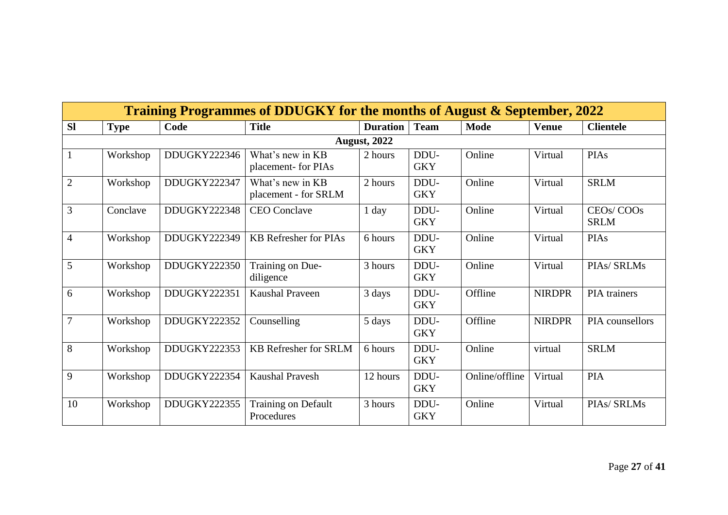|                |             |              | Training Programmes of DDUGKY for the months of August & September, 2022 |                     |                    |                |               |                                                   |
|----------------|-------------|--------------|--------------------------------------------------------------------------|---------------------|--------------------|----------------|---------------|---------------------------------------------------|
| <b>Sl</b>      | <b>Type</b> | Code         | <b>Title</b>                                                             | <b>Duration</b>     | <b>Team</b>        | <b>Mode</b>    | <b>Venue</b>  | <b>Clientele</b>                                  |
|                |             |              |                                                                          | <b>August, 2022</b> |                    |                |               |                                                   |
|                | Workshop    | DDUGKY222346 | What's new in KB<br>placement- for PIAs                                  | 2 hours             | DDU-<br><b>GKY</b> | Online         | Virtual       | <b>PIAs</b>                                       |
| $\overline{2}$ | Workshop    | DDUGKY222347 | What's new in KB<br>placement - for SRLM                                 | 2 hours             | DDU-<br><b>GKY</b> | Online         | Virtual       | <b>SRLM</b>                                       |
| $\overline{3}$ | Conclave    | DDUGKY222348 | <b>CEO</b> Conclave                                                      | $1$ day             | DDU-<br><b>GKY</b> | Online         | Virtual       | CEO <sub>s</sub> /COO <sub>s</sub><br><b>SRLM</b> |
| $\overline{4}$ | Workshop    | DDUGKY222349 | <b>KB</b> Refresher for PIAs                                             | 6 hours             | DDU-<br><b>GKY</b> | Online         | Virtual       | <b>PIAs</b>                                       |
| 5              | Workshop    | DDUGKY222350 | Training on Due-<br>diligence                                            | 3 hours             | DDU-<br><b>GKY</b> | Online         | Virtual       | PIAs/ SRLMs                                       |
| 6              | Workshop    | DDUGKY222351 | <b>Kaushal Praveen</b>                                                   | 3 days              | DDU-<br><b>GKY</b> | Offline        | <b>NIRDPR</b> | PIA trainers                                      |
| $\overline{7}$ | Workshop    | DDUGKY222352 | Counselling                                                              | 5 days              | DDU-<br><b>GKY</b> | Offline        | <b>NIRDPR</b> | PIA counsellors                                   |
| 8              | Workshop    | DDUGKY222353 | <b>KB Refresher for SRLM</b>                                             | 6 hours             | DDU-<br><b>GKY</b> | Online         | virtual       | <b>SRLM</b>                                       |
| 9              | Workshop    | DDUGKY222354 | <b>Kaushal Pravesh</b>                                                   | 12 hours            | DDU-<br><b>GKY</b> | Online/offline | Virtual       | <b>PIA</b>                                        |
| 10             | Workshop    | DDUGKY222355 | Training on Default<br>Procedures                                        | 3 hours             | DDU-<br><b>GKY</b> | Online         | Virtual       | PIAs/ SRLMs                                       |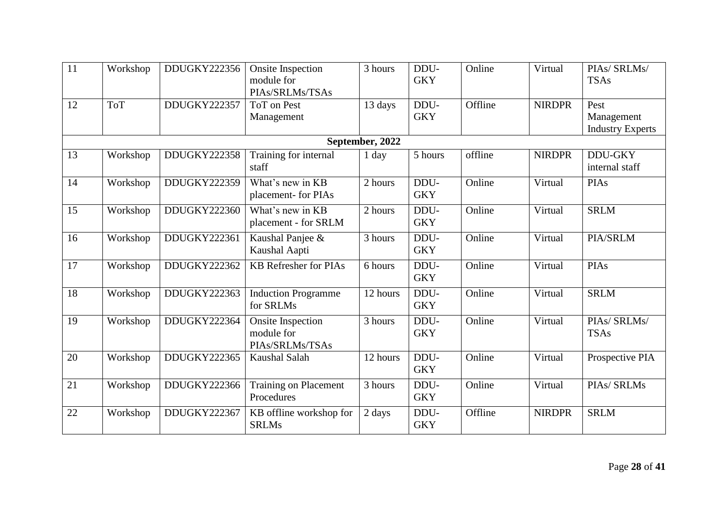| $\overline{11}$ | Workshop   | DDUGKY222356 | <b>Onsite Inspection</b><br>module for<br>PIAs/SRLMs/TSAs | 3 hours         | DDU-<br><b>GKY</b> | Online  | Virtual       | PIAS/ SRLMs/<br><b>TSAs</b>                   |
|-----------------|------------|--------------|-----------------------------------------------------------|-----------------|--------------------|---------|---------------|-----------------------------------------------|
| 12              | <b>ToT</b> | DDUGKY222357 | <b>ToT</b> on Pest<br>Management                          | 13 days         | DDU-<br><b>GKY</b> | Offline | <b>NIRDPR</b> | Pest<br>Management<br><b>Industry Experts</b> |
|                 |            |              |                                                           | September, 2022 |                    |         |               |                                               |
| 13              | Workshop   | DDUGKY222358 | Training for internal<br>staff                            | 1 day           | 5 hours            | offline | <b>NIRDPR</b> | <b>DDU-GKY</b><br>internal staff              |
| 14              | Workshop   | DDUGKY222359 | What's new in KB<br>placement- for PIAs                   | 2 hours         | DDU-<br><b>GKY</b> | Online  | Virtual       | <b>PIAs</b>                                   |
| 15              | Workshop   | DDUGKY222360 | What's new in KB<br>placement - for SRLM                  | 2 hours         | DDU-<br><b>GKY</b> | Online  | Virtual       | <b>SRLM</b>                                   |
| 16              | Workshop   | DDUGKY222361 | Kaushal Panjee &<br>Kaushal Aapti                         | 3 hours         | DDU-<br><b>GKY</b> | Online  | Virtual       | PIA/SRLM                                      |
| 17              | Workshop   | DDUGKY222362 | <b>KB</b> Refresher for PIAs                              | 6 hours         | DDU-<br><b>GKY</b> | Online  | Virtual       | <b>PIAs</b>                                   |
| 18              | Workshop   | DDUGKY222363 | <b>Induction Programme</b><br>for SRLMs                   | 12 hours        | DDU-<br><b>GKY</b> | Online  | Virtual       | <b>SRLM</b>                                   |
| 19              | Workshop   | DDUGKY222364 | <b>Onsite Inspection</b><br>module for<br>PIAs/SRLMs/TSAs | 3 hours         | DDU-<br><b>GKY</b> | Online  | Virtual       | PIAS/ SRLMs/<br><b>TSAs</b>                   |
| 20              | Workshop   | DDUGKY222365 | Kaushal Salah                                             | 12 hours        | DDU-<br><b>GKY</b> | Online  | Virtual       | Prospective PIA                               |
| 21              | Workshop   | DDUGKY222366 | <b>Training on Placement</b><br>Procedures                | 3 hours         | DDU-<br><b>GKY</b> | Online  | Virtual       | PIAs/ SRLMs                                   |
| 22              | Workshop   | DDUGKY222367 | KB offline workshop for<br><b>SRLMs</b>                   | 2 days          | DDU-<br><b>GKY</b> | Offline | <b>NIRDPR</b> | <b>SRLM</b>                                   |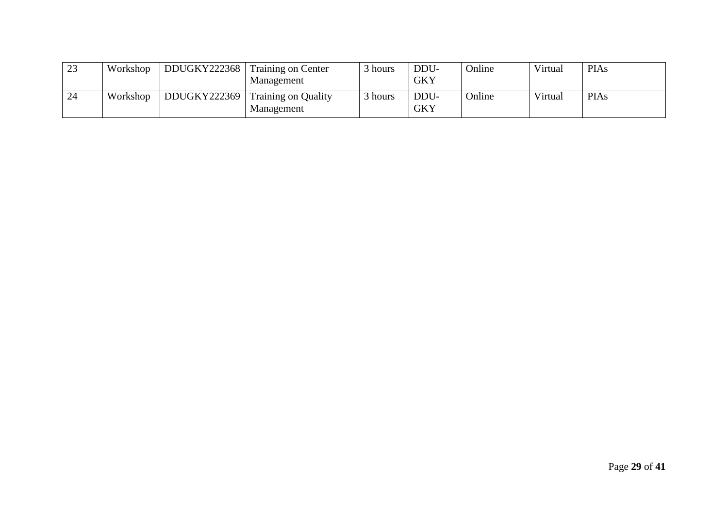| 23 | Workshop | DDUGKY222368 | <b>Training on Center</b><br>Management  | hours | DDU-<br>GKY        | <b>Online</b> | Virtual | <b>PIAs</b> |
|----|----------|--------------|------------------------------------------|-------|--------------------|---------------|---------|-------------|
| 24 | Workshop | DDUGKY222369 | <b>Training on Quality</b><br>Management | hours | DDU-<br><b>GKY</b> | Online        | Virtual | <b>PIAs</b> |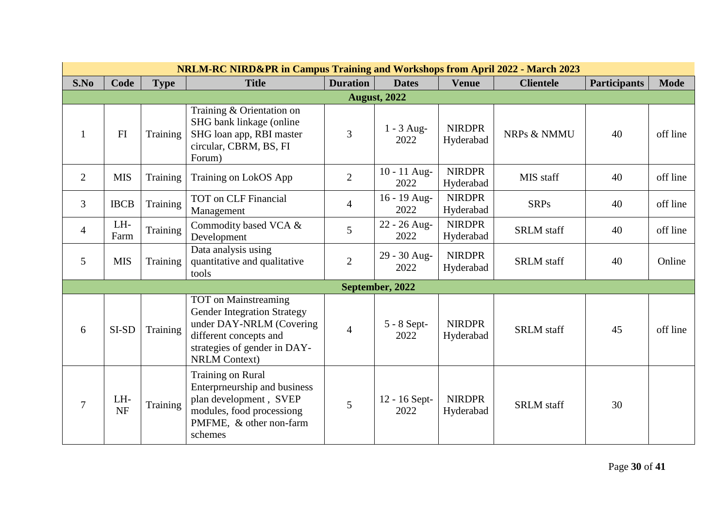|                |                  |             | NRLM-RC NIRD&PR in Campus Training and Workshops from April 2022 - March 2023                                                                                                   |                 |                       |                            |                   |                     |             |
|----------------|------------------|-------------|---------------------------------------------------------------------------------------------------------------------------------------------------------------------------------|-----------------|-----------------------|----------------------------|-------------------|---------------------|-------------|
| S.No           | Code             | <b>Type</b> | <b>Title</b>                                                                                                                                                                    | <b>Duration</b> | <b>Dates</b>          | <b>Venue</b>               | <b>Clientele</b>  | <b>Participants</b> | <b>Mode</b> |
|                |                  |             |                                                                                                                                                                                 |                 | <b>August</b> , 2022  |                            |                   |                     |             |
| $\mathbf{1}$   | FI               | Training    | Training & Orientation on<br>SHG bank linkage (online<br>SHG loan app, RBI master<br>circular, CBRM, BS, FI<br>Forum)                                                           | 3               | $1 - 3$ Aug-<br>2022  | <b>NIRDPR</b><br>Hyderabad | NRPs & NMMU       | 40                  | off line    |
| 2              | <b>MIS</b>       | Training    | Training on LokOS App                                                                                                                                                           | $\overline{2}$  | 10 - 11 Aug-<br>2022  | <b>NIRDPR</b><br>Hyderabad | MIS staff         | 40                  | off line    |
| $\overline{3}$ | <b>IBCB</b>      | Training    | <b>TOT</b> on CLF Financial<br>Management                                                                                                                                       | $\overline{4}$  | 16 - 19 Aug-<br>2022  | <b>NIRDPR</b><br>Hyderabad | <b>SRPs</b>       | 40                  | off line    |
| $\overline{4}$ | LH-<br>Farm      | Training    | Commodity based VCA &<br>Development                                                                                                                                            | 5               | 22 - 26 Aug-<br>2022  | <b>NIRDPR</b><br>Hyderabad | <b>SRLM</b> staff | 40                  | off line    |
| 5              | <b>MIS</b>       | Training    | Data analysis using<br>quantitative and qualitative<br>tools                                                                                                                    | $\overline{2}$  | 29 - 30 Aug-<br>2022  | <b>NIRDPR</b><br>Hyderabad | <b>SRLM</b> staff | 40                  | Online      |
|                |                  |             |                                                                                                                                                                                 |                 | September, 2022       |                            |                   |                     |             |
| 6              | SI-SD            | Training    | <b>TOT</b> on Mainstreaming<br><b>Gender Integration Strategy</b><br>under DAY-NRLM (Covering<br>different concepts and<br>strategies of gender in DAY-<br><b>NRLM Context)</b> | $\overline{4}$  | 5 - 8 Sept-<br>2022   | <b>NIRDPR</b><br>Hyderabad | <b>SRLM</b> staff | 45                  | off line    |
| $\overline{7}$ | LH-<br><b>NF</b> | Training    | Training on Rural<br>Enterprneurship and business<br>plan development, SVEP<br>modules, food processiong<br>PMFME, & other non-farm<br>schemes                                  | 5               | 12 - 16 Sept-<br>2022 | <b>NIRDPR</b><br>Hyderabad | <b>SRLM</b> staff | 30                  |             |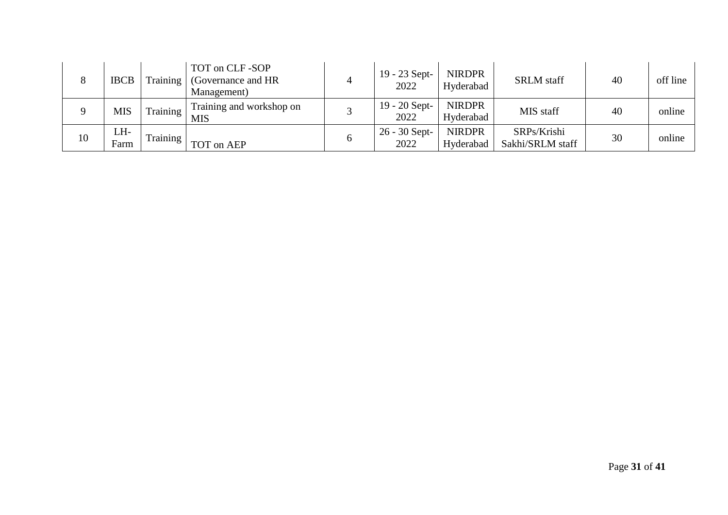| 8  | <b>IBCB</b> | Training | TOT on CLF-SOP<br>(Governance and HR)<br>Management) | 19 - 23 Sept-<br>2022   | <b>NIRDPR</b><br>Hyderabad | <b>SRLM</b> staff               | 40 | off line |
|----|-------------|----------|------------------------------------------------------|-------------------------|----------------------------|---------------------------------|----|----------|
|    | <b>MIS</b>  | Training | Training and workshop on<br>MIS                      | $19 - 20$ Sept-<br>2022 | <b>NIRDPR</b><br>Hyderabad | MIS staff                       | 40 | online   |
| 10 | LH-<br>Farm | Training | TOT on AEP                                           | $26 - 30$ Sept-<br>2022 | <b>NIRDPR</b><br>Hyderabad | SRPs/Krishi<br>Sakhi/SRLM staff | 30 | online   |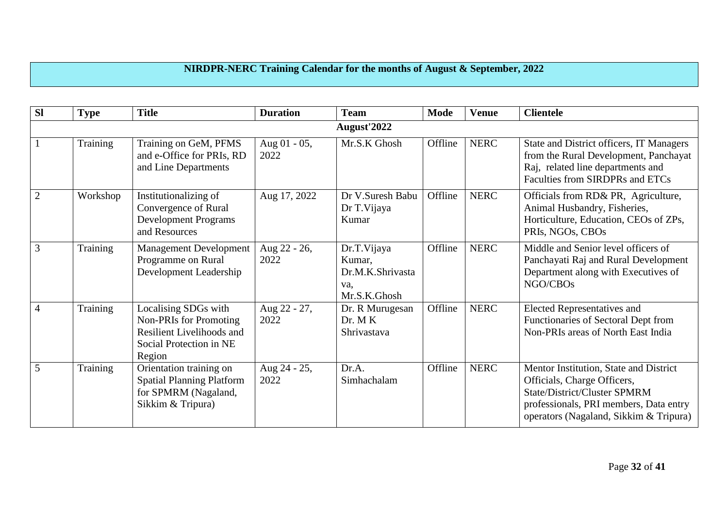## **NIRDPR-NERC Training Calendar for the months of August & September, 2022**

| <b>Sl</b>      | <b>Type</b> | <b>Title</b>                                                                                                                   | <b>Duration</b>      | <b>Team</b>                                                      | <b>Mode</b> | <b>Venue</b> | <b>Clientele</b>                                                                                                                                                                          |
|----------------|-------------|--------------------------------------------------------------------------------------------------------------------------------|----------------------|------------------------------------------------------------------|-------------|--------------|-------------------------------------------------------------------------------------------------------------------------------------------------------------------------------------------|
|                |             |                                                                                                                                |                      | August'2022                                                      |             |              |                                                                                                                                                                                           |
|                | Training    | Training on GeM, PFMS<br>and e-Office for PRIs, RD<br>and Line Departments                                                     | Aug 01 - 05,<br>2022 | Mr.S.K Ghosh                                                     | Offline     | <b>NERC</b>  | State and District officers, IT Managers<br>from the Rural Development, Panchayat<br>Raj, related line departments and<br>Faculties from SIRDPRs and ETCs                                 |
| $\overline{2}$ | Workshop    | Institutionalizing of<br>Convergence of Rural<br><b>Development Programs</b><br>and Resources                                  | Aug 17, 2022         | Dr V.Suresh Babu<br>Dr T. Vijaya<br>Kumar                        | Offline     | <b>NERC</b>  | Officials from RD& PR, Agriculture,<br>Animal Husbandry, Fisheries,<br>Horticulture, Education, CEOs of ZPs,<br>PRIs, NGOs, CBOs                                                          |
| 3              | Training    | <b>Management Development</b><br>Programme on Rural<br>Development Leadership                                                  | Aug 22 - 26,<br>2022 | Dr.T.Vijaya<br>Kumar,<br>Dr.M.K.Shrivasta<br>va,<br>Mr.S.K.Ghosh | Offline     | <b>NERC</b>  | Middle and Senior level officers of<br>Panchayati Raj and Rural Development<br>Department along with Executives of<br>NGO/CBOs                                                            |
| $\overline{4}$ | Training    | Localising SDGs with<br><b>Non-PRIs for Promoting</b><br><b>Resilient Livelihoods and</b><br>Social Protection in NE<br>Region | Aug 22 - 27,<br>2022 | Dr. R Murugesan<br>Dr. MK<br>Shrivastava                         | Offline     | <b>NERC</b>  | <b>Elected Representatives and</b><br>Functionaries of Sectoral Dept from<br>Non-PRIs areas of North East India                                                                           |
| 5              | Training    | Orientation training on<br><b>Spatial Planning Platform</b><br>for SPMRM (Nagaland,<br>Sikkim & Tripura)                       | Aug 24 - 25,<br>2022 | Dr.A.<br>Simhachalam                                             | Offline     | <b>NERC</b>  | Mentor Institution, State and District<br>Officials, Charge Officers,<br>State/District/Cluster SPMRM<br>professionals, PRI members, Data entry<br>operators (Nagaland, Sikkim & Tripura) |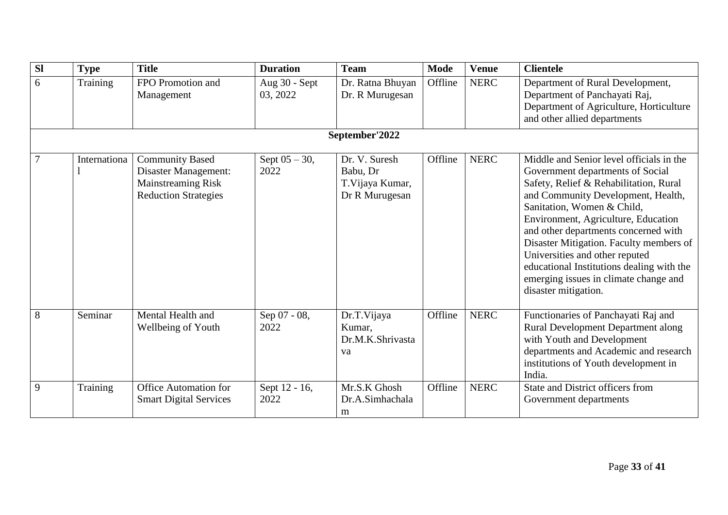| $\overline{sl}$ | <b>Type</b>  | <b>Title</b>                                                                                               | <b>Duration</b>           | <b>Team</b>                                                     | <b>Mode</b> | <b>Venue</b> | <b>Clientele</b>                                                                                                                                                                                                                                                                                                                                                                                                                                                     |  |  |
|-----------------|--------------|------------------------------------------------------------------------------------------------------------|---------------------------|-----------------------------------------------------------------|-------------|--------------|----------------------------------------------------------------------------------------------------------------------------------------------------------------------------------------------------------------------------------------------------------------------------------------------------------------------------------------------------------------------------------------------------------------------------------------------------------------------|--|--|
| 6               | Training     | FPO Promotion and<br>Management                                                                            | Aug 30 - Sept<br>03, 2022 | Dr. Ratna Bhuyan<br>Dr. R Murugesan                             | Offline     | <b>NERC</b>  | Department of Rural Development,<br>Department of Panchayati Raj,<br>Department of Agriculture, Horticulture<br>and other allied departments                                                                                                                                                                                                                                                                                                                         |  |  |
| September'2022  |              |                                                                                                            |                           |                                                                 |             |              |                                                                                                                                                                                                                                                                                                                                                                                                                                                                      |  |  |
| $\overline{7}$  | Internationa | <b>Community Based</b><br>Disaster Management:<br><b>Mainstreaming Risk</b><br><b>Reduction Strategies</b> | Sept $05 - 30$ ,<br>2022  | Dr. V. Suresh<br>Babu, Dr<br>T. Vijaya Kumar,<br>Dr R Murugesan | Offline     | <b>NERC</b>  | Middle and Senior level officials in the<br>Government departments of Social<br>Safety, Relief & Rehabilitation, Rural<br>and Community Development, Health,<br>Sanitation, Women & Child,<br>Environment, Agriculture, Education<br>and other departments concerned with<br>Disaster Mitigation. Faculty members of<br>Universities and other reputed<br>educational Institutions dealing with the<br>emerging issues in climate change and<br>disaster mitigation. |  |  |
| 8               | Seminar      | Mental Health and<br>Wellbeing of Youth                                                                    | Sep 07 - 08,<br>2022      | Dr.T.Vijaya<br>Kumar,<br>Dr.M.K.Shrivasta<br>va                 | Offline     | <b>NERC</b>  | Functionaries of Panchayati Raj and<br><b>Rural Development Department along</b><br>with Youth and Development<br>departments and Academic and research<br>institutions of Youth development in<br>India.                                                                                                                                                                                                                                                            |  |  |
| 9               | Training     | <b>Office Automation for</b><br><b>Smart Digital Services</b>                                              | Sept 12 - 16,<br>2022     | Mr.S.K Ghosh<br>Dr.A.Simhachala<br>m                            | Offline     | <b>NERC</b>  | <b>State and District officers from</b><br>Government departments                                                                                                                                                                                                                                                                                                                                                                                                    |  |  |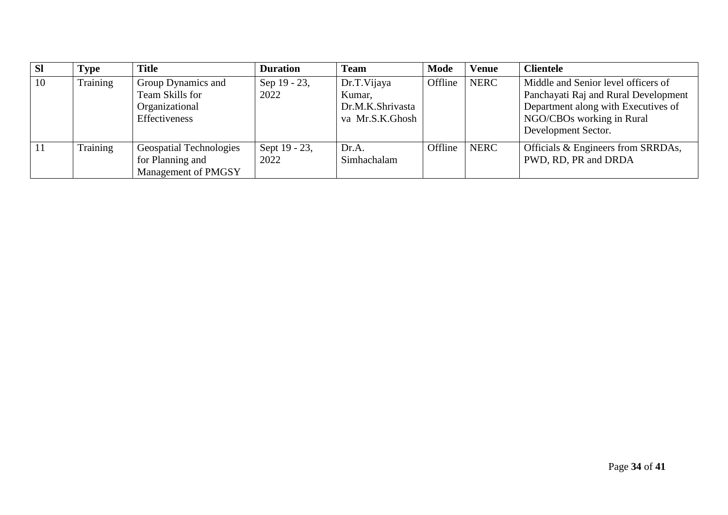| $\overline{\mathbf{S}}$ | Fype     | <b>Title</b>                                                                    | <b>Duration</b>       | <b>Team</b>                                                  | Mode    | <b>Venue</b> | <b>Clientele</b>                                                                                                                                                       |
|-------------------------|----------|---------------------------------------------------------------------------------|-----------------------|--------------------------------------------------------------|---------|--------------|------------------------------------------------------------------------------------------------------------------------------------------------------------------------|
| $\vert$ 10              | Training | Group Dynamics and<br>Team Skills for<br>Organizational<br><b>Effectiveness</b> | Sep 19 - 23,<br>2022  | Dr.T.Vijaya<br>Kumar,<br>Dr.M.K.Shrivasta<br>va Mr.S.K.Ghosh | Offline | <b>NERC</b>  | Middle and Senior level officers of<br>Panchayati Raj and Rural Development<br>Department along with Executives of<br>NGO/CBOs working in Rural<br>Development Sector. |
| <sup>11</sup>           | Training | <b>Geospatial Technologies</b><br>for Planning and<br>Management of PMGSY       | Sept 19 - 23,<br>2022 | Dr.A.<br>Simhachalam                                         | Offline | <b>NERC</b>  | Officials & Engineers from SRRDAs,<br>PWD, RD, PR and DRDA                                                                                                             |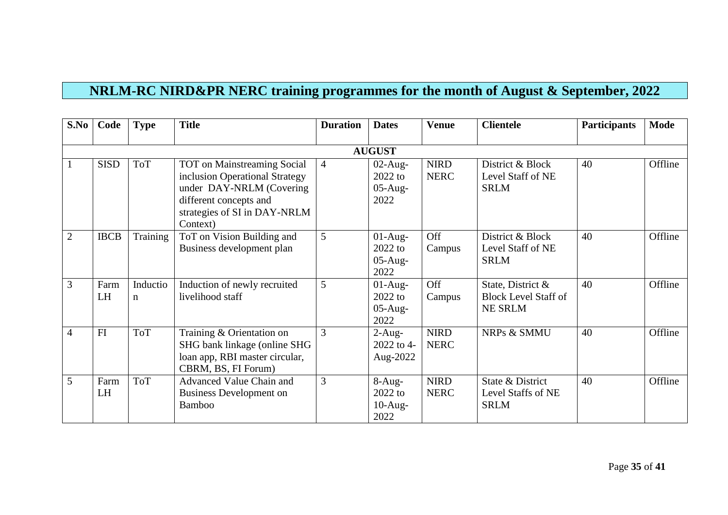## **NRLM-RC NIRD&PR NERC training programmes for the month of August & September, 2022**

| S.No           | Code              | <b>Type</b>             | <b>Title</b>                                                                                                                                                           | <b>Duration</b> | <b>Dates</b>                                 | <b>Venue</b>               | <b>Clientele</b>                                                   | <b>Participants</b> | <b>Mode</b> |
|----------------|-------------------|-------------------------|------------------------------------------------------------------------------------------------------------------------------------------------------------------------|-----------------|----------------------------------------------|----------------------------|--------------------------------------------------------------------|---------------------|-------------|
|                |                   |                         |                                                                                                                                                                        |                 |                                              |                            |                                                                    |                     |             |
|                |                   |                         |                                                                                                                                                                        |                 | <b>AUGUST</b>                                |                            |                                                                    |                     |             |
|                | <b>SISD</b>       | <b>ToT</b>              | <b>TOT</b> on Mainstreaming Social<br>inclusion Operational Strategy<br>under DAY-NRLM (Covering<br>different concepts and<br>strategies of SI in DAY-NRLM<br>Context) | $\overline{4}$  | $02$ -Aug-<br>$2022$ to<br>$05-Aug-$<br>2022 | <b>NIRD</b><br><b>NERC</b> | District & Block<br>Level Staff of NE<br><b>SRLM</b>               | 40                  | Offline     |
| $\overline{2}$ | <b>IBCB</b>       | Training                | ToT on Vision Building and<br>Business development plan                                                                                                                | 5               | $01-Aug-$<br>$2022$ to<br>$05-Aug-$<br>2022  | Off<br>Campus              | District & Block<br>Level Staff of NE<br><b>SRLM</b>               | 40                  | Offline     |
| 3              | Farm<br><b>LH</b> | Inductio<br>$\mathbf n$ | Induction of newly recruited<br>livelihood staff                                                                                                                       | 5               | $01-Aug-$<br>2022 to<br>$05-Aug-$<br>2022    | Off<br>Campus              | State, District &<br><b>Block Level Staff of</b><br><b>NE SRLM</b> | 40                  | Offline     |
| $\overline{4}$ | FI                | <b>ToT</b>              | Training & Orientation on<br>SHG bank linkage (online SHG<br>loan app, RBI master circular,<br>CBRM, BS, FI Forum)                                                     | 3               | $2$ -Aug-<br>2022 to 4-<br>Aug-2022          | <b>NIRD</b><br><b>NERC</b> | NRPs & SMMU                                                        | 40                  | Offline     |
| 5              | Farm<br>LH        | <b>ToT</b>              | Advanced Value Chain and<br><b>Business Development on</b><br><b>Bamboo</b>                                                                                            | 3               | $8-Aug-$<br>$2022$ to<br>$10$ -Aug-<br>2022  | <b>NIRD</b><br><b>NERC</b> | State & District<br>Level Staffs of NE<br><b>SRLM</b>              | 40                  | Offline     |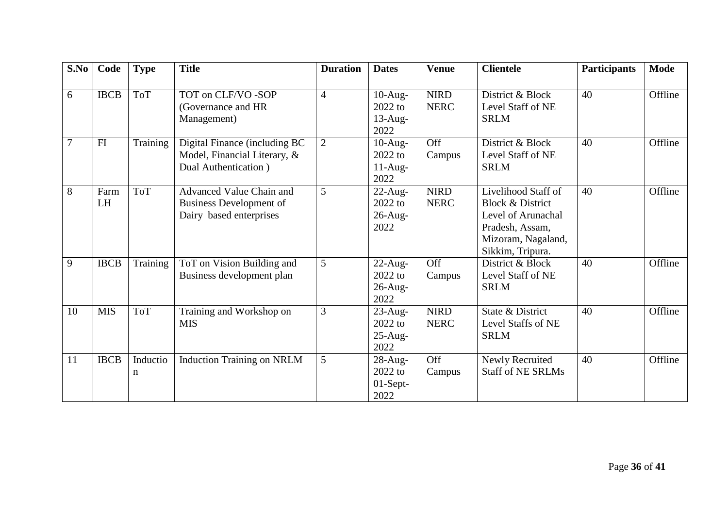| S.No | Code              | <b>Type</b>   | <b>Title</b>                                                                          | <b>Duration</b> | <b>Dates</b>                                  | <b>Venue</b>               | <b>Clientele</b>                                                                                                                      | <b>Participants</b> | <b>Mode</b> |
|------|-------------------|---------------|---------------------------------------------------------------------------------------|-----------------|-----------------------------------------------|----------------------------|---------------------------------------------------------------------------------------------------------------------------------------|---------------------|-------------|
| 6    | <b>IBCB</b>       | <b>ToT</b>    | TOT on CLF/VO -SOP<br>(Governance and HR<br>Management)                               | $\overline{4}$  | $10-Aug-$<br>2022 to<br>$13$ -Aug-<br>2022    | <b>NIRD</b><br><b>NERC</b> | District & Block<br>Level Staff of NE<br><b>SRLM</b>                                                                                  | 40                  | Offline     |
| 7    | FI                | Training      | Digital Finance (including BC<br>Model, Financial Literary, &<br>Dual Authentication) | $\overline{2}$  | $10-Aug-$<br>$2022$ to<br>$11-Aug-$<br>2022   | Off<br>Campus              | District & Block<br>Level Staff of NE<br><b>SRLM</b>                                                                                  | 40                  | Offline     |
| 8    | Farm<br><b>LH</b> | <b>ToT</b>    | Advanced Value Chain and<br><b>Business Development of</b><br>Dairy based enterprises | 5               | $22$ -Aug-<br>$2022$ to<br>$26$ -Aug-<br>2022 | <b>NIRD</b><br><b>NERC</b> | Livelihood Staff of<br><b>Block &amp; District</b><br>Level of Arunachal<br>Pradesh, Assam,<br>Mizoram, Nagaland,<br>Sikkim, Tripura. | 40                  | Offline     |
| 9    | <b>IBCB</b>       | Training      | ToT on Vision Building and<br>Business development plan                               | 5               | $22$ -Aug-<br>$2022$ to<br>$26$ -Aug-<br>2022 | Off<br>Campus              | District & Block<br>Level Staff of NE<br><b>SRLM</b>                                                                                  | 40                  | Offline     |
| 10   | <b>MIS</b>        | <b>ToT</b>    | Training and Workshop on<br><b>MIS</b>                                                | 3               | $23$ -Aug-<br>$2022$ to<br>$25$ -Aug-<br>2022 | <b>NIRD</b><br><b>NERC</b> | State & District<br>Level Staffs of NE<br><b>SRLM</b>                                                                                 | 40                  | Offline     |
| 11   | <b>IBCB</b>       | Inductio<br>n | <b>Induction Training on NRLM</b>                                                     | 5               | $28$ -Aug-<br>$2022$ to<br>01-Sept-<br>2022   | Off<br>Campus              | Newly Recruited<br><b>Staff of NE SRLMs</b>                                                                                           | 40                  | Offline     |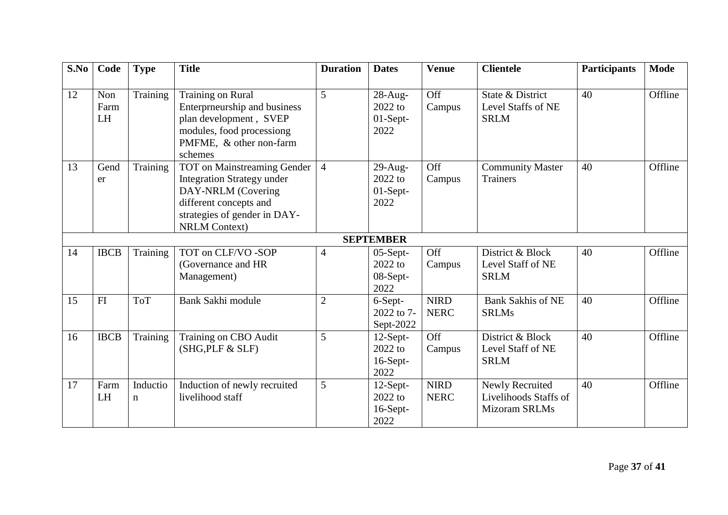| S.No | Code                     | <b>Type</b>             | <b>Title</b>                                                                                                                                                             | <b>Duration</b> | <b>Dates</b>                                                  | <b>Venue</b>               | <b>Clientele</b>                                          | <b>Participants</b> | <b>Mode</b> |
|------|--------------------------|-------------------------|--------------------------------------------------------------------------------------------------------------------------------------------------------------------------|-----------------|---------------------------------------------------------------|----------------------------|-----------------------------------------------------------|---------------------|-------------|
| 12   | Non<br>Farm<br><b>LH</b> | Training                | <b>Training on Rural</b><br>Enterprneurship and business<br>plan development, SVEP<br>modules, food processiong<br>PMFME, & other non-farm<br>schemes                    | 5               | 28-Aug-<br>2022 to<br>01-Sept-<br>2022                        | Off<br>Campus              | State & District<br>Level Staffs of NE<br><b>SRLM</b>     | 40                  | Offline     |
| 13   | Gend<br>er               | Training                | TOT on Mainstreaming Gender<br><b>Integration Strategy under</b><br>DAY-NRLM (Covering<br>different concepts and<br>strategies of gender in DAY-<br><b>NRLM Context)</b> | $\overline{4}$  | $29$ -Aug-<br>2022 to<br>$01-Sept-$<br>2022                   | Off<br>Campus              | <b>Community Master</b><br><b>Trainers</b>                | 40                  | Offline     |
| 14   | <b>IBCB</b>              | Training                | TOT on CLF/VO -SOP<br>(Governance and HR<br>Management)                                                                                                                  | $\overline{4}$  | <b>SEPTEMBER</b><br>$05-Sept-$<br>2022 to<br>08-Sept-<br>2022 | Off<br>Campus              | District & Block<br>Level Staff of NE<br><b>SRLM</b>      | 40                  | Offline     |
| 15   | FI                       | <b>ToT</b>              | <b>Bank Sakhi module</b>                                                                                                                                                 | $\overline{2}$  | 6-Sept-<br>2022 to 7-<br>Sept-2022                            | <b>NIRD</b><br><b>NERC</b> | <b>Bank Sakhis of NE</b><br><b>SRLMs</b>                  | 40                  | Offline     |
| 16   | <b>IBCB</b>              | Training                | Training on CBO Audit<br>(SHG, PLF & SLF)                                                                                                                                | 5               | $12$ -Sept-<br>2022 to<br>16-Sept-<br>2022                    | Off<br>Campus              | District & Block<br>Level Staff of NE<br><b>SRLM</b>      | 40                  | Offline     |
| 17   | Farm<br><b>LH</b>        | Inductio<br>$\mathbf n$ | Induction of newly recruited<br>livelihood staff                                                                                                                         | 5               | $12$ -Sept-<br>2022 to<br>16-Sept-<br>2022                    | <b>NIRD</b><br><b>NERC</b> | Newly Recruited<br>Livelihoods Staffs of<br>Mizoram SRLMs | 40                  | Offline     |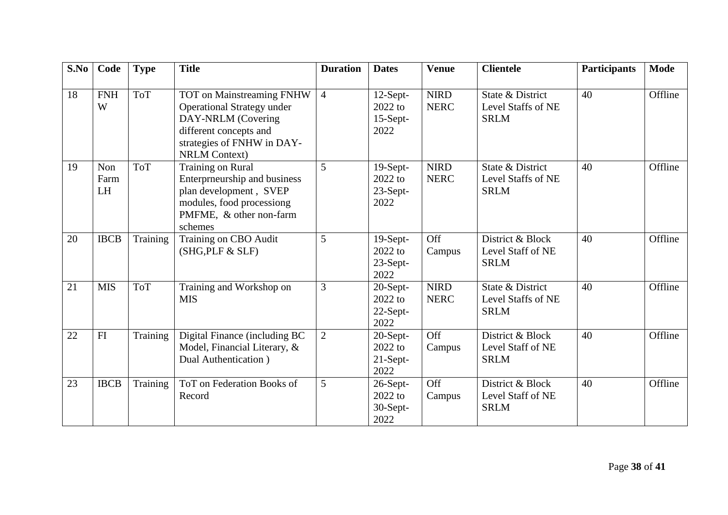| S.No | Code                     | <b>Type</b> | <b>Title</b>                                                                                                                                                         | <b>Duration</b> | <b>Dates</b>                                 | <b>Venue</b>               | <b>Clientele</b>                                      | <b>Participants</b> | <b>Mode</b> |
|------|--------------------------|-------------|----------------------------------------------------------------------------------------------------------------------------------------------------------------------|-----------------|----------------------------------------------|----------------------------|-------------------------------------------------------|---------------------|-------------|
| 18   | <b>FNH</b><br>W          | <b>ToT</b>  | TOT on Mainstreaming FNHW<br><b>Operational Strategy under</b><br>DAY-NRLM (Covering<br>different concepts and<br>strategies of FNHW in DAY-<br><b>NRLM Context)</b> | $\overline{4}$  | $12$ -Sept-<br>2022 to<br>15-Sept-<br>2022   | <b>NIRD</b><br><b>NERC</b> | State & District<br>Level Staffs of NE<br><b>SRLM</b> | 40                  | Offline     |
| 19   | Non<br>Farm<br><b>LH</b> | <b>ToT</b>  | Training on Rural<br>Enterprneurship and business<br>plan development, SVEP<br>modules, food processiong<br>PMFME, & other non-farm<br>schemes                       | 5               | 19-Sept-<br>2022 to<br>23-Sept-<br>2022      | <b>NIRD</b><br><b>NERC</b> | State & District<br>Level Staffs of NE<br><b>SRLM</b> | 40                  | Offline     |
| 20   | <b>IBCB</b>              | Training    | Training on CBO Audit<br>(SHG, PLF & SLF)                                                                                                                            | 5               | 19-Sept-<br>2022 to<br>23-Sept-<br>2022      | Off<br>Campus              | District & Block<br>Level Staff of NE<br><b>SRLM</b>  | 40                  | Offline     |
| 21   | <b>MIS</b>               | <b>ToT</b>  | Training and Workshop on<br><b>MIS</b>                                                                                                                               | 3               | $20$ -Sept-<br>$2022$ to<br>22-Sept-<br>2022 | <b>NIRD</b><br><b>NERC</b> | State & District<br>Level Staffs of NE<br><b>SRLM</b> | 40                  | Offline     |
| 22   | FI                       | Training    | Digital Finance (including BC<br>Model, Financial Literary, &<br>Dual Authentication)                                                                                | $\overline{2}$  | 20-Sept-<br>2022 to<br>21-Sept-<br>2022      | Off<br>Campus              | District & Block<br>Level Staff of NE<br><b>SRLM</b>  | 40                  | Offline     |
| 23   | <b>IBCB</b>              | Training    | ToT on Federation Books of<br>Record                                                                                                                                 | 5               | 26-Sept-<br>2022 to<br>30-Sept-<br>2022      | Off<br>Campus              | District & Block<br>Level Staff of NE<br><b>SRLM</b>  | 40                  | Offline     |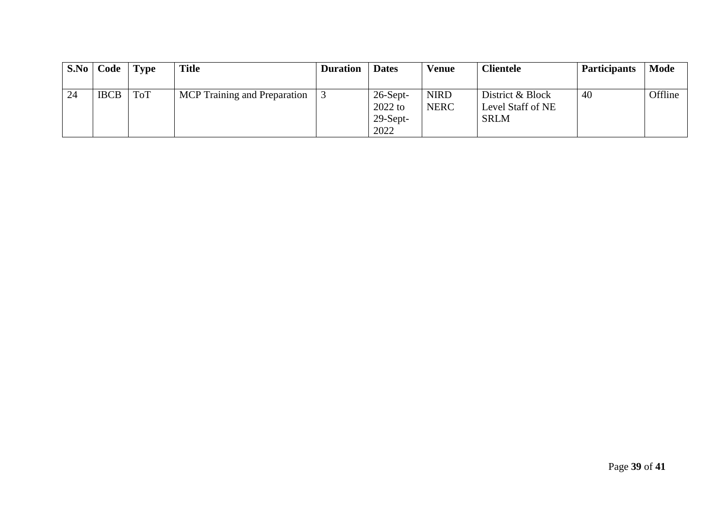|    | S.No   Code | <b>Type</b> | <b>Title</b>                 | <b>Duration</b> | <b>Dates</b>                                   | Venue                      | <b>Clientele</b>                                     | <b>Participants</b> | <b>Mode</b> |
|----|-------------|-------------|------------------------------|-----------------|------------------------------------------------|----------------------------|------------------------------------------------------|---------------------|-------------|
|    |             |             |                              |                 |                                                |                            |                                                      |                     |             |
| 24 | <b>IBCB</b> | ToT         | MCP Training and Preparation |                 | $26$ -Sept-<br>$2022$ to<br>$29-Sept-$<br>2022 | <b>NIRD</b><br><b>NERC</b> | District & Block<br>Level Staff of NE<br><b>SRLM</b> | 40                  | Offline     |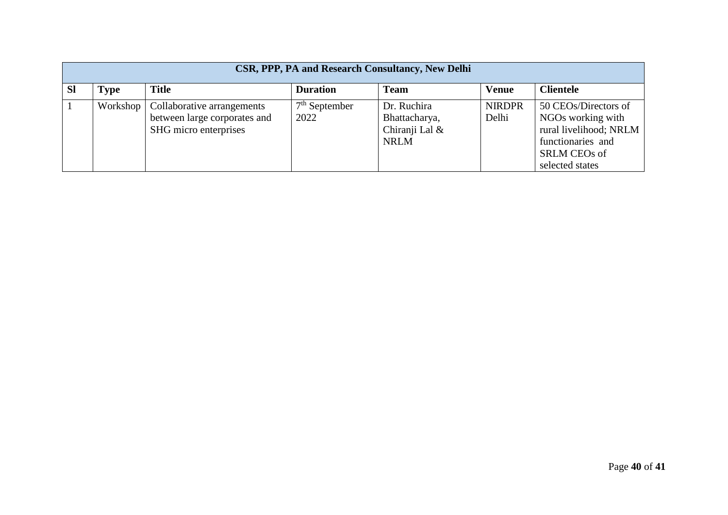|           | CSR, PPP, PA and Research Consultancy, New Delhi |                                                                                                |                         |                                                               |                        |                                                                                                                                    |  |  |  |  |
|-----------|--------------------------------------------------|------------------------------------------------------------------------------------------------|-------------------------|---------------------------------------------------------------|------------------------|------------------------------------------------------------------------------------------------------------------------------------|--|--|--|--|
| <b>SI</b> | Type                                             | <b>Title</b>                                                                                   | <b>Duration</b>         | <b>Team</b>                                                   | <b>Venue</b>           | <b>Clientele</b>                                                                                                                   |  |  |  |  |
|           |                                                  | Workshop   Collaborative arrangements<br>between large corporates and<br>SHG micro enterprises | $7th$ September<br>2022 | Dr. Ruchira<br>Bhattacharya,<br>Chiranji Lal &<br><b>NRLM</b> | <b>NIRDPR</b><br>Delhi | 50 CEOs/Directors of<br>NGOs working with<br>rural livelihood; NRLM<br>functionaries and<br><b>SRLM CEOs of</b><br>selected states |  |  |  |  |